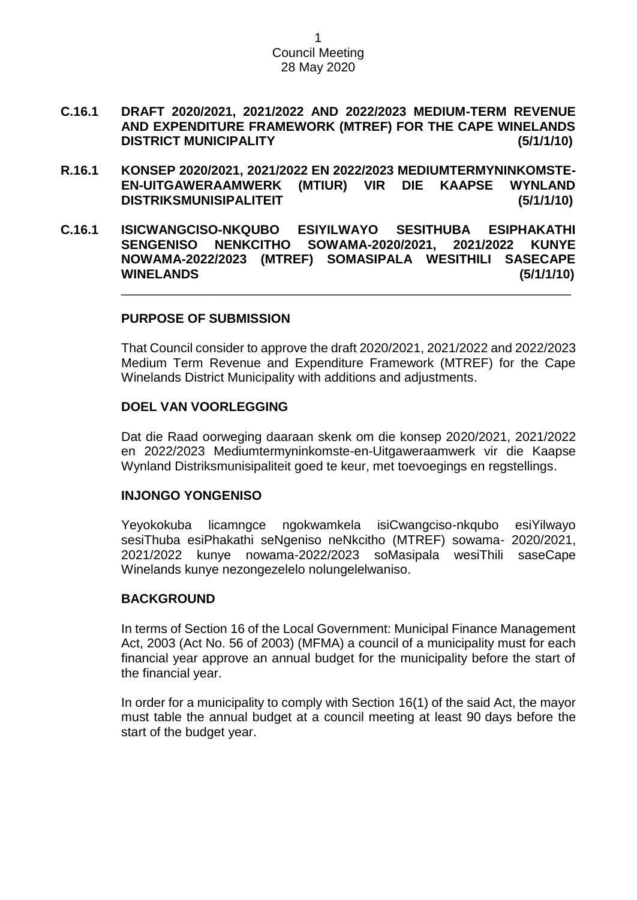- **C.16.1 DRAFT 2020/2021, 2021/2022 AND 2022/2023 MEDIUM-TERM REVENUE AND EXPENDITURE FRAMEWORK (MTREF) FOR THE CAPE WINELANDS DISTRICT MUNICIPALITY (5/1/1/10)**
- **R.16.1 KONSEP 2020/2021, 2021/2022 EN 2022/2023 MEDIUMTERMYNINKOMSTE-EN-UITGAWERAAMWERK (MTIUR) VIR DIE KAAPSE WYNLAND DISTRIKSMUNISIPALITEIT (5/1/1/10)**
- **C.16.1 ISICWANGCISO-NKQUBO ESIYILWAYO SESITHUBA ESIPHAKATHI SENGENISO NENKCITHO SOWAMA-2020/2021, 2021/2022 KUNYE NOWAMA-2022/2023 (MTREF) SOMASIPALA WESITHILI SASECAPE WINELANDS (5/1/1/10)** \_\_\_\_\_\_\_\_\_\_\_\_\_\_\_\_\_\_\_\_\_\_\_\_\_\_\_\_\_\_\_\_\_\_\_\_\_\_\_\_\_\_\_\_\_\_\_\_\_\_\_\_\_\_\_\_\_\_\_\_\_\_\_

# **PURPOSE OF SUBMISSION**

That Council consider to approve the draft 2020/2021, 2021/2022 and 2022/2023 Medium Term Revenue and Expenditure Framework (MTREF) for the Cape Winelands District Municipality with additions and adjustments.

#### **DOEL VAN VOORLEGGING**

Dat die Raad oorweging daaraan skenk om die konsep 2020/2021, 2021/2022 en 2022/2023 Mediumtermyninkomste-en-Uitgaweraamwerk vir die Kaapse Wynland Distriksmunisipaliteit goed te keur, met toevoegings en regstellings.

#### **INJONGO YONGENISO**

Yeyokokuba licamngce ngokwamkela isiCwangciso-nkqubo esiYilwayo sesiThuba esiPhakathi seNgeniso neNkcitho (MTREF) sowama- 2020/2021, 2021/2022 kunye nowama-2022/2023 soMasipala wesiThili saseCape Winelands kunye nezongezelelo nolungelelwaniso.

# **BACKGROUND**

In terms of Section 16 of the Local Government: Municipal Finance Management Act, 2003 (Act No. 56 of 2003) (MFMA) a council of a municipality must for each financial year approve an annual budget for the municipality before the start of the financial year.

In order for a municipality to comply with Section 16(1) of the said Act, the mayor must table the annual budget at a council meeting at least 90 days before the start of the budget year.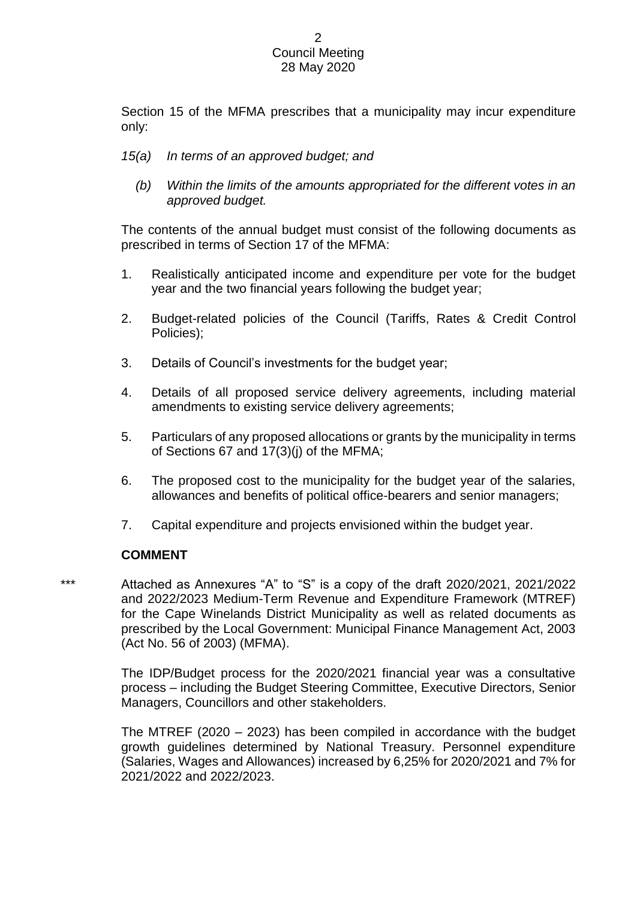Section 15 of the MFMA prescribes that a municipality may incur expenditure only:

- *15(a) In terms of an approved budget; and* 
	- *(b) Within the limits of the amounts appropriated for the different votes in an approved budget.*

The contents of the annual budget must consist of the following documents as prescribed in terms of Section 17 of the MFMA:

- 1. Realistically anticipated income and expenditure per vote for the budget year and the two financial years following the budget year;
- 2. Budget-related policies of the Council (Tariffs, Rates & Credit Control Policies);
- 3. Details of Council's investments for the budget year;
- 4. Details of all proposed service delivery agreements, including material amendments to existing service delivery agreements;
- 5. Particulars of any proposed allocations or grants by the municipality in terms of Sections 67 and 17(3)(j) of the MFMA;
- 6. The proposed cost to the municipality for the budget year of the salaries, allowances and benefits of political office-bearers and senior managers;
- 7. Capital expenditure and projects envisioned within the budget year.

# **COMMENT**

\*\*\* Attached as Annexures "A" to "S" is a copy of the draft 2020/2021, 2021/2022 and 2022/2023 Medium-Term Revenue and Expenditure Framework (MTREF) for the Cape Winelands District Municipality as well as related documents as prescribed by the Local Government: Municipal Finance Management Act, 2003 (Act No. 56 of 2003) (MFMA).

> The IDP/Budget process for the 2020/2021 financial year was a consultative process – including the Budget Steering Committee, Executive Directors, Senior Managers, Councillors and other stakeholders.

> The MTREF (2020 – 2023) has been compiled in accordance with the budget growth guidelines determined by National Treasury. Personnel expenditure (Salaries, Wages and Allowances) increased by 6,25% for 2020/2021 and 7% for 2021/2022 and 2022/2023.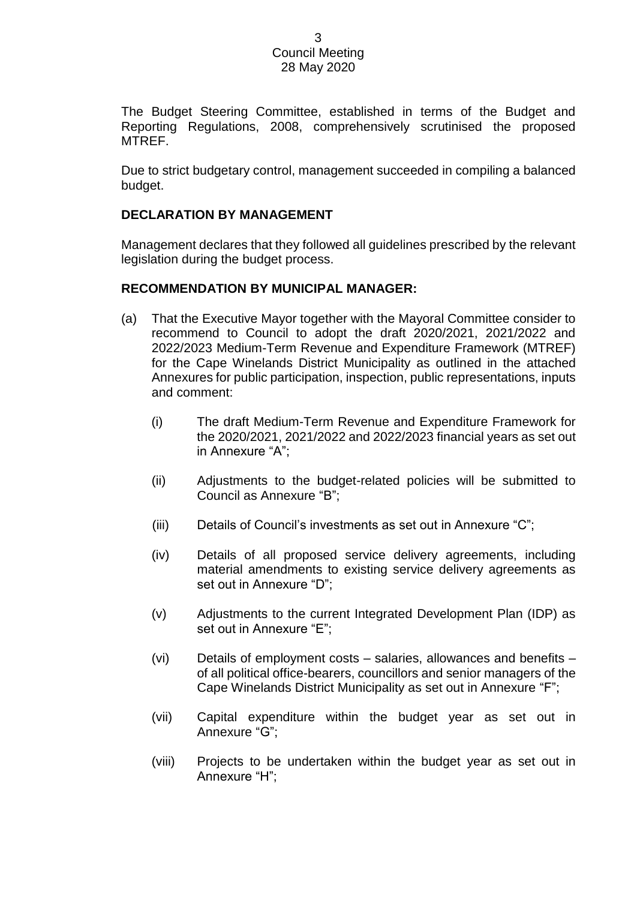The Budget Steering Committee, established in terms of the Budget and Reporting Regulations, 2008, comprehensively scrutinised the proposed MTREF.

Due to strict budgetary control, management succeeded in compiling a balanced budget.

# **DECLARATION BY MANAGEMENT**

Management declares that they followed all guidelines prescribed by the relevant legislation during the budget process.

# **RECOMMENDATION BY MUNICIPAL MANAGER:**

- (a) That the Executive Mayor together with the Mayoral Committee consider to recommend to Council to adopt the draft 2020/2021, 2021/2022 and 2022/2023 Medium-Term Revenue and Expenditure Framework (MTREF) for the Cape Winelands District Municipality as outlined in the attached Annexures for public participation, inspection, public representations, inputs and comment:
	- (i) The draft Medium-Term Revenue and Expenditure Framework for the 2020/2021, 2021/2022 and 2022/2023 financial years as set out in Annexure "A";
	- (ii) Adjustments to the budget-related policies will be submitted to Council as Annexure "B";
	- (iii) Details of Council's investments as set out in Annexure "C";
	- (iv) Details of all proposed service delivery agreements, including material amendments to existing service delivery agreements as set out in Annexure "D";
	- (v) Adjustments to the current Integrated Development Plan (IDP) as set out in Annexure "E";
	- (vi) Details of employment costs salaries, allowances and benefits of all political office-bearers, councillors and senior managers of the Cape Winelands District Municipality as set out in Annexure "F";
	- (vii) Capital expenditure within the budget year as set out in Annexure "G";
	- (viii) Projects to be undertaken within the budget year as set out in Annexure "H";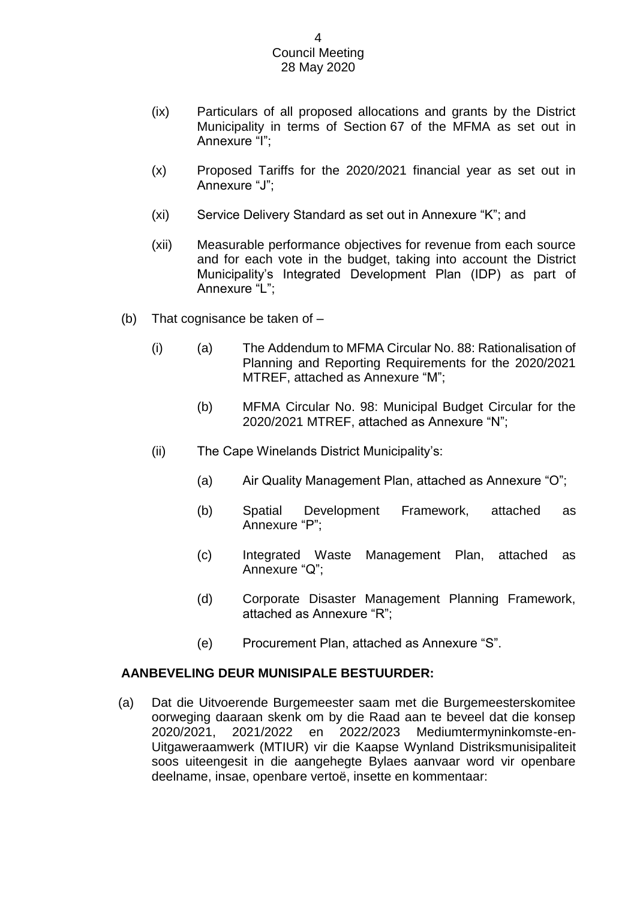- (ix) Particulars of all proposed allocations and grants by the District Municipality in terms of Section 67 of the MFMA as set out in Annexure "I";
- (x) Proposed Tariffs for the 2020/2021 financial year as set out in Annexure "J";
- (xi) Service Delivery Standard as set out in Annexure "K"; and
- (xii) Measurable performance objectives for revenue from each source and for each vote in the budget, taking into account the District Municipality's Integrated Development Plan (IDP) as part of Annexure "L";
- (b) That cognisance be taken of
	- (i) (a) The Addendum to MFMA Circular No. 88: Rationalisation of Planning and Reporting Requirements for the 2020/2021 MTREF, attached as Annexure "M";
		- (b) MFMA Circular No. 98: Municipal Budget Circular for the 2020/2021 MTREF, attached as Annexure "N";
	- (ii) The Cape Winelands District Municipality's:
		- (a) Air Quality Management Plan, attached as Annexure "O";
		- (b) Spatial Development Framework, attached as Annexure "P";
		- (c) Integrated Waste Management Plan, attached as Annexure "Q";
		- (d) Corporate Disaster Management Planning Framework, attached as Annexure "R";
		- (e) Procurement Plan, attached as Annexure "S".

# **AANBEVELING DEUR MUNISIPALE BESTUURDER:**

(a) Dat die Uitvoerende Burgemeester saam met die Burgemeesterskomitee oorweging daaraan skenk om by die Raad aan te beveel dat die konsep 2020/2021, 2021/2022 en 2022/2023 Mediumtermyninkomste-en-Uitgaweraamwerk (MTIUR) vir die Kaapse Wynland Distriksmunisipaliteit soos uiteengesit in die aangehegte Bylaes aanvaar word vir openbare deelname, insae, openbare vertoë, insette en kommentaar: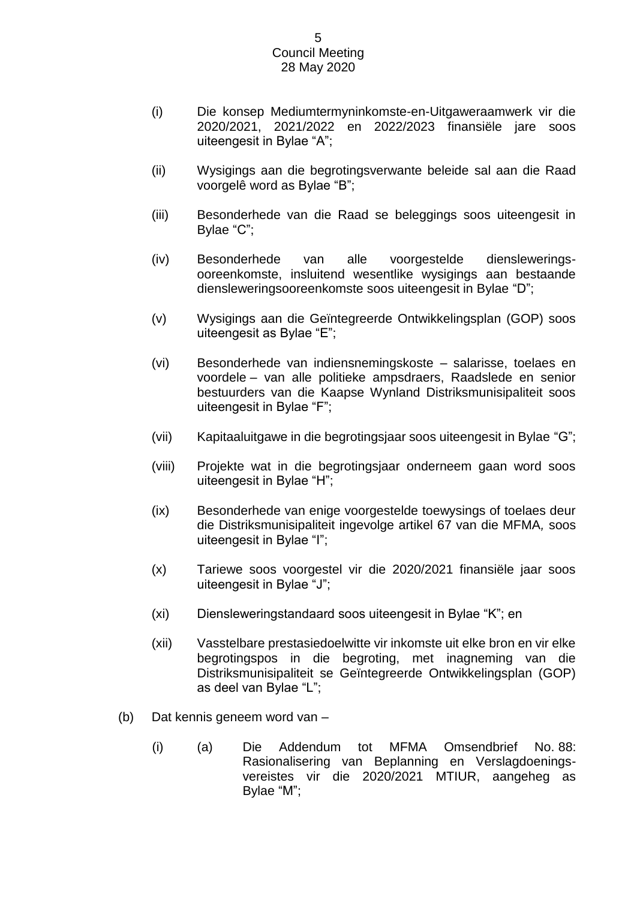- (i) Die konsep Mediumtermyninkomste-en-Uitgaweraamwerk vir die 2020/2021, 2021/2022 en 2022/2023 finansiële jare soos uiteengesit in Bylae "A";
- (ii) Wysigings aan die begrotingsverwante beleide sal aan die Raad voorgelê word as Bylae "B";
- (iii) Besonderhede van die Raad se beleggings soos uiteengesit in Bylae "C";
- (iv) Besonderhede van alle voorgestelde diensleweringsooreenkomste, insluitend wesentlike wysigings aan bestaande diensleweringsooreenkomste soos uiteengesit in Bylae "D";
- (v) Wysigings aan die Geïntegreerde Ontwikkelingsplan (GOP) soos uiteengesit as Bylae "E";
- (vi) Besonderhede van indiensnemingskoste salarisse, toelaes en voordele – van alle politieke ampsdraers, Raadslede en senior bestuurders van die Kaapse Wynland Distriksmunisipaliteit soos uiteengesit in Bylae "F";
- (vii) Kapitaaluitgawe in die begrotingsjaar soos uiteengesit in Bylae "G";
- (viii) Projekte wat in die begrotingsjaar onderneem gaan word soos uiteengesit in Bylae "H";
- (ix) Besonderhede van enige voorgestelde toewysings of toelaes deur die Distriksmunisipaliteit ingevolge artikel 67 van die MFMA*,* soos uiteengesit in Bylae "I";
- (x) Tariewe soos voorgestel vir die 2020/2021 finansiële jaar soos uiteengesit in Bylae "J";
- (xi) Diensleweringstandaard soos uiteengesit in Bylae "K"; en
- (xii) Vasstelbare prestasiedoelwitte vir inkomste uit elke bron en vir elke begrotingspos in die begroting, met inagneming van die Distriksmunisipaliteit se Geïntegreerde Ontwikkelingsplan (GOP) as deel van Bylae "L";
- (b) Dat kennis geneem word van
	- (i) (a) Die Addendum tot MFMA Omsendbrief No. 88: Rasionalisering van Beplanning en Verslagdoeningsvereistes vir die 2020/2021 MTIUR, aangeheg as Bylae "M";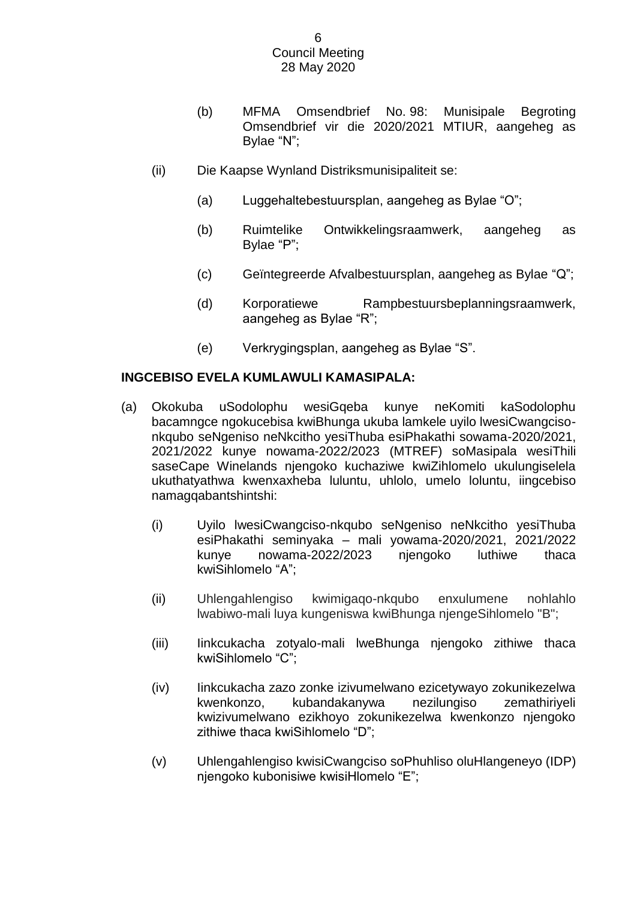- (b) MFMA Omsendbrief No. 98: Munisipale Begroting Omsendbrief vir die 2020/2021 MTIUR, aangeheg as Bylae "N";
- (ii) Die Kaapse Wynland Distriksmunisipaliteit se:
	- (a) Luggehaltebestuursplan, aangeheg as Bylae "O";
	- (b) Ruimtelike Ontwikkelingsraamwerk, aangeheg as Bylae "P";
	- (c) Geïntegreerde Afvalbestuursplan, aangeheg as Bylae "Q";
	- (d) Korporatiewe Rampbestuursbeplanningsraamwerk, aangeheg as Bylae "R";
	- (e) Verkrygingsplan, aangeheg as Bylae "S".

# **INGCEBISO EVELA KUMLAWULI KAMASIPALA:**

- (a) Okokuba uSodolophu wesiGqeba kunye neKomiti kaSodolophu bacamngce ngokucebisa kwiBhunga ukuba lamkele uyilo lwesiCwangcisonkqubo seNgeniso neNkcitho yesiThuba esiPhakathi sowama-2020/2021, 2021/2022 kunye nowama-2022/2023 (MTREF) soMasipala wesiThili saseCape Winelands njengoko kuchaziwe kwiZihlomelo ukulungiselela ukuthatyathwa kwenxaxheba luluntu, uhlolo, umelo loluntu, iingcebiso namagqabantshintshi:
	- (i) Uyilo lwesiCwangciso-nkqubo seNgeniso neNkcitho yesiThuba esiPhakathi seminyaka – mali yowama-2020/2021, 2021/2022 kunye nowama-2022/2023 njengoko luthiwe thaca kwiSihlomelo "A";
	- (ii) Uhlengahlengiso kwimigaqo-nkqubo enxulumene nohlahlo lwabiwo-mali luya kungeniswa kwiBhunga njengeSihlomelo "B";
	- (iii) Iinkcukacha zotyalo-mali lweBhunga njengoko zithiwe thaca kwiSihlomelo "C";
	- (iv) Iinkcukacha zazo zonke izivumelwano ezicetywayo zokunikezelwa kwenkonzo, kubandakanywa nezilungiso zemathiriyeli kwizivumelwano ezikhoyo zokunikezelwa kwenkonzo njengoko zithiwe thaca kwiSihlomelo "D";
	- (v) Uhlengahlengiso kwisiCwangciso soPhuhliso oluHlangeneyo (IDP) njengoko kubonisiwe kwisiHlomelo "E";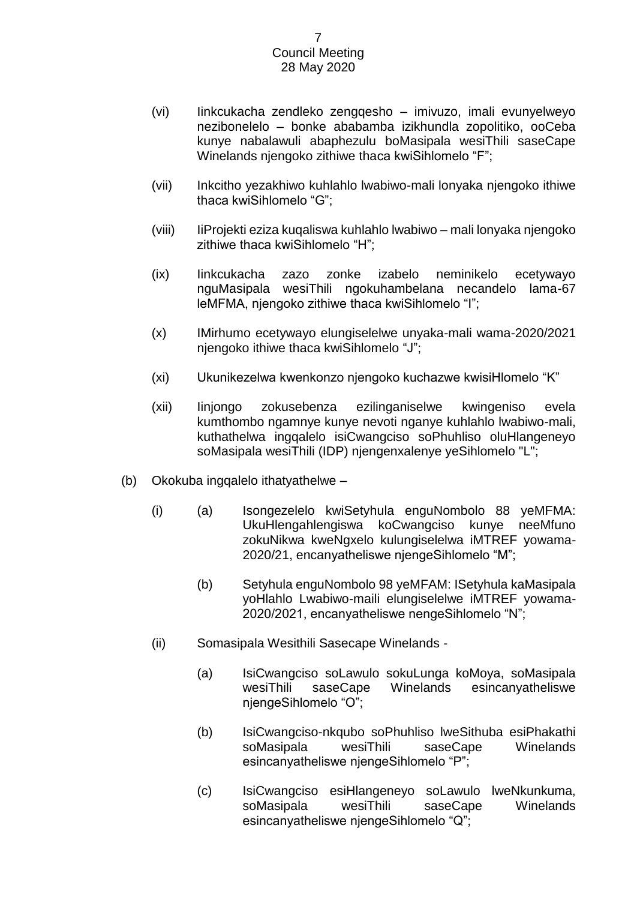- (vi) Iinkcukacha zendleko zengqesho imivuzo, imali evunyelweyo nezibonelelo – bonke ababamba izikhundla zopolitiko, ooCeba kunye nabalawuli abaphezulu boMasipala wesiThili saseCape Winelands njengoko zithiwe thaca kwiSihlomelo "F";
- (vii) Inkcitho yezakhiwo kuhlahlo lwabiwo-mali lonyaka njengoko ithiwe thaca kwiSihlomelo "G";
- (viii) IiProjekti eziza kuqaliswa kuhlahlo lwabiwo mali lonyaka njengoko zithiwe thaca kwiSihlomelo "H";
- (ix) Iinkcukacha zazo zonke izabelo neminikelo ecetywayo nguMasipala wesiThili ngokuhambelana necandelo lama-67 leMFMA, njengoko zithiwe thaca kwiSihlomelo "I";
- (x) IMirhumo ecetywayo elungiselelwe unyaka-mali wama-2020/2021 njengoko ithiwe thaca kwiSihlomelo "J";
- (xi) Ukunikezelwa kwenkonzo njengoko kuchazwe kwisiHlomelo "K"
- (xii) Iinjongo zokusebenza ezilinganiselwe kwingeniso evela kumthombo ngamnye kunye nevoti nganye kuhlahlo lwabiwo-mali, kuthathelwa ingqalelo isiCwangciso soPhuhliso oluHlangeneyo soMasipala wesiThili (IDP) njengenxalenye yeSihlomelo "L";
- (b) Okokuba ingqalelo ithatyathelwe
	- (i) (a) Isongezelelo kwiSetyhula enguNombolo 88 yeMFMA: UkuHlengahlengiswa koCwangciso kunye neeMfuno zokuNikwa kweNgxelo kulungiselelwa iMTREF yowama-2020/21, encanyatheliswe njengeSihlomelo "M";
		- (b) Setyhula enguNombolo 98 yeMFAM: ISetyhula kaMasipala yoHlahlo Lwabiwo-maili elungiselelwe iMTREF yowama-2020/2021, encanyatheliswe nengeSihlomelo "N";
	- (ii) Somasipala Wesithili Sasecape Winelands
		- (a) IsiCwangciso soLawulo sokuLunga koMoya, soMasipala wesiThili saseCape Winelands esincanyatheliswe njengeSihlomelo "O";
		- (b) IsiCwangciso-nkqubo soPhuhliso lweSithuba esiPhakathi soMasipala wesiThili saseCape Winelands esincanyatheliswe njengeSihlomelo "P";
		- (c) IsiCwangciso esiHlangeneyo soLawulo lweNkunkuma, soMasipala wesiThili saseCape Winelands esincanyatheliswe njengeSihlomelo "Q";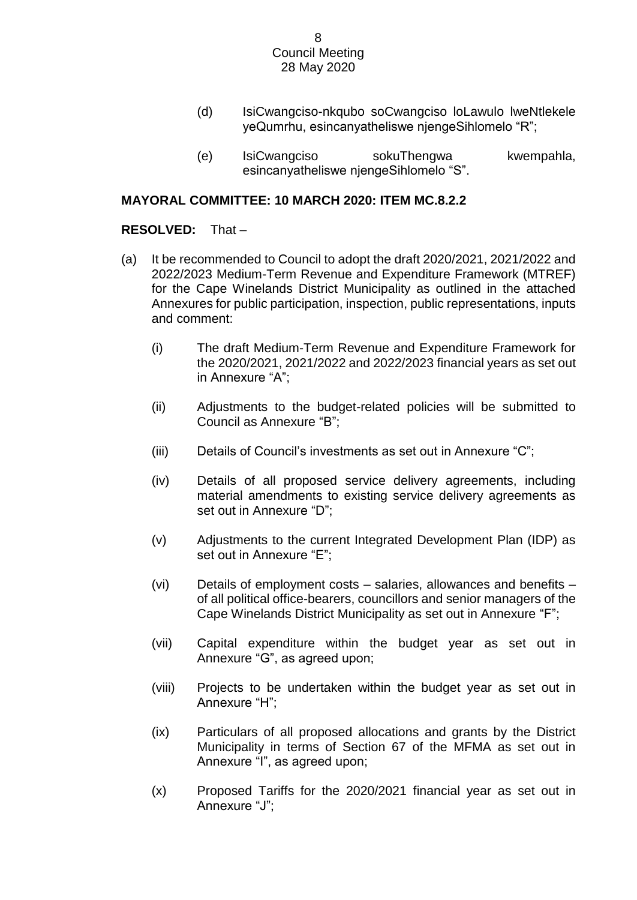- (d) IsiCwangciso-nkqubo soCwangciso loLawulo lweNtlekele yeQumrhu, esincanyatheliswe njengeSihlomelo "R";
- (e) IsiCwangciso sokuThengwa kwempahla, esincanyatheliswe njengeSihlomelo "S".

# **MAYORAL COMMITTEE: 10 MARCH 2020: ITEM MC.8.2.2**

# **RESOLVED:** That –

- (a) It be recommended to Council to adopt the draft 2020/2021, 2021/2022 and 2022/2023 Medium-Term Revenue and Expenditure Framework (MTREF) for the Cape Winelands District Municipality as outlined in the attached Annexures for public participation, inspection, public representations, inputs and comment:
	- (i) The draft Medium-Term Revenue and Expenditure Framework for the 2020/2021, 2021/2022 and 2022/2023 financial years as set out in Annexure "A";
	- (ii) Adjustments to the budget-related policies will be submitted to Council as Annexure "B";
	- (iii) Details of Council's investments as set out in Annexure "C";
	- (iv) Details of all proposed service delivery agreements, including material amendments to existing service delivery agreements as set out in Annexure "D";
	- (v) Adjustments to the current Integrated Development Plan (IDP) as set out in Annexure "E";
	- (vi) Details of employment costs salaries, allowances and benefits of all political office-bearers, councillors and senior managers of the Cape Winelands District Municipality as set out in Annexure "F";
	- (vii) Capital expenditure within the budget year as set out in Annexure "G", as agreed upon;
	- (viii) Projects to be undertaken within the budget year as set out in Annexure "H";
	- (ix) Particulars of all proposed allocations and grants by the District Municipality in terms of Section 67 of the MFMA as set out in Annexure "I", as agreed upon;
	- (x) Proposed Tariffs for the 2020/2021 financial year as set out in Annexure "J";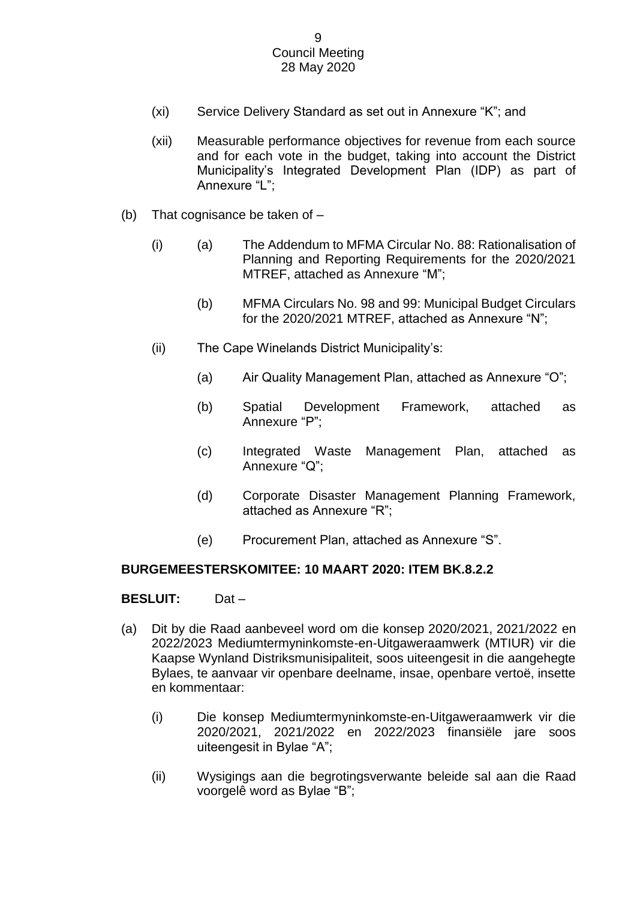- (xi) Service Delivery Standard as set out in Annexure "K"; and
- (xii) Measurable performance objectives for revenue from each source and for each vote in the budget, taking into account the District Municipality's Integrated Development Plan (IDP) as part of Annexure "L";
- (b) That cognisance be taken of
	- (i) (a) The Addendum to MFMA Circular No. 88: Rationalisation of Planning and Reporting Requirements for the 2020/2021 MTREF, attached as Annexure "M";
		- (b) MFMA Circulars No. 98 and 99: Municipal Budget Circulars for the 2020/2021 MTREF, attached as Annexure "N";
	- (ii) The Cape Winelands District Municipality's:
		- (a) Air Quality Management Plan, attached as Annexure "O";
		- (b) Spatial Development Framework, attached as Annexure "P";
		- (c) Integrated Waste Management Plan, attached as Annexure "Q";
		- (d) Corporate Disaster Management Planning Framework, attached as Annexure "R";
		- (e) Procurement Plan, attached as Annexure "S".

# **BURGEMEESTERSKOMITEE: 10 MAART 2020: ITEM BK.8.2.2**

# **BESLUIT:** Dat –

- (a) Dit by die Raad aanbeveel word om die konsep 2020/2021, 2021/2022 en 2022/2023 Mediumtermyninkomste-en-Uitgaweraamwerk (MTIUR) vir die Kaapse Wynland Distriksmunisipaliteit, soos uiteengesit in die aangehegte Bylaes, te aanvaar vir openbare deelname, insae, openbare vertoë, insette en kommentaar:
	- (i) Die konsep Mediumtermyninkomste-en-Uitgaweraamwerk vir die 2020/2021, 2021/2022 en 2022/2023 finansiële jare soos uiteengesit in Bylae "A";
	- (ii) Wysigings aan die begrotingsverwante beleide sal aan die Raad voorgelê word as Bylae "B";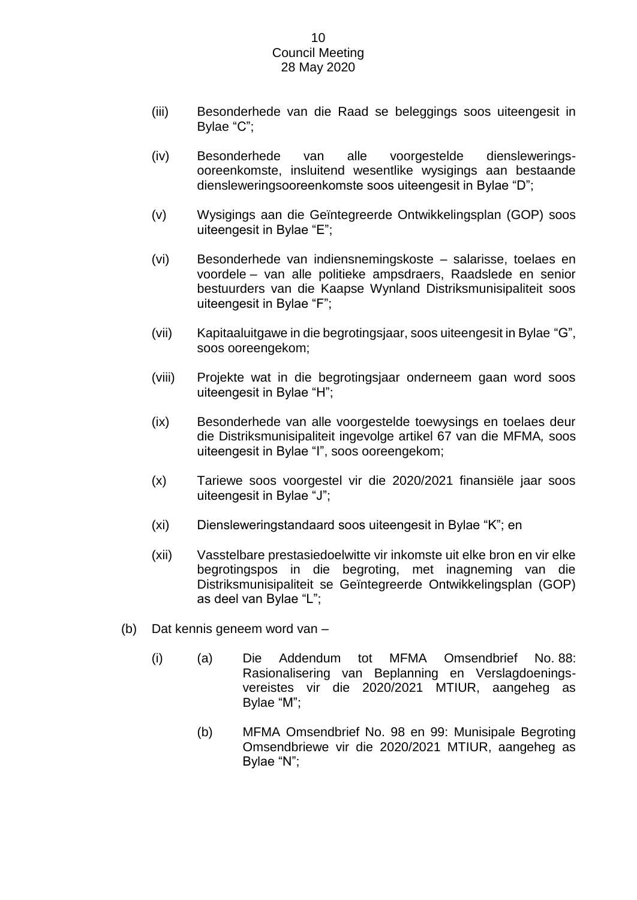- (iii) Besonderhede van die Raad se beleggings soos uiteengesit in Bylae "C";
- (iv) Besonderhede van alle voorgestelde diensleweringsooreenkomste, insluitend wesentlike wysigings aan bestaande diensleweringsooreenkomste soos uiteengesit in Bylae "D";
- (v) Wysigings aan die Geïntegreerde Ontwikkelingsplan (GOP) soos uiteengesit in Bylae "E";
- (vi) Besonderhede van indiensnemingskoste salarisse, toelaes en voordele – van alle politieke ampsdraers, Raadslede en senior bestuurders van die Kaapse Wynland Distriksmunisipaliteit soos uiteengesit in Bylae "F";
- (vii) Kapitaaluitgawe in die begrotingsjaar, soos uiteengesit in Bylae "G", soos ooreengekom;
- (viii) Projekte wat in die begrotingsjaar onderneem gaan word soos uiteengesit in Bylae "H";
- (ix) Besonderhede van alle voorgestelde toewysings en toelaes deur die Distriksmunisipaliteit ingevolge artikel 67 van die MFMA*,* soos uiteengesit in Bylae "I", soos ooreengekom;
- (x) Tariewe soos voorgestel vir die 2020/2021 finansiële jaar soos uiteengesit in Bylae "J";
- (xi) Diensleweringstandaard soos uiteengesit in Bylae "K"; en
- (xii) Vasstelbare prestasiedoelwitte vir inkomste uit elke bron en vir elke begrotingspos in die begroting, met inagneming van die Distriksmunisipaliteit se Geïntegreerde Ontwikkelingsplan (GOP) as deel van Bylae "L";
- (b) Dat kennis geneem word van
	- (i) (a) Die Addendum tot MFMA Omsendbrief No. 88: Rasionalisering van Beplanning en Verslagdoeningsvereistes vir die 2020/2021 MTIUR, aangeheg as Bylae "M";
		- (b) MFMA Omsendbrief No. 98 en 99: Munisipale Begroting Omsendbriewe vir die 2020/2021 MTIUR, aangeheg as Bylae "N";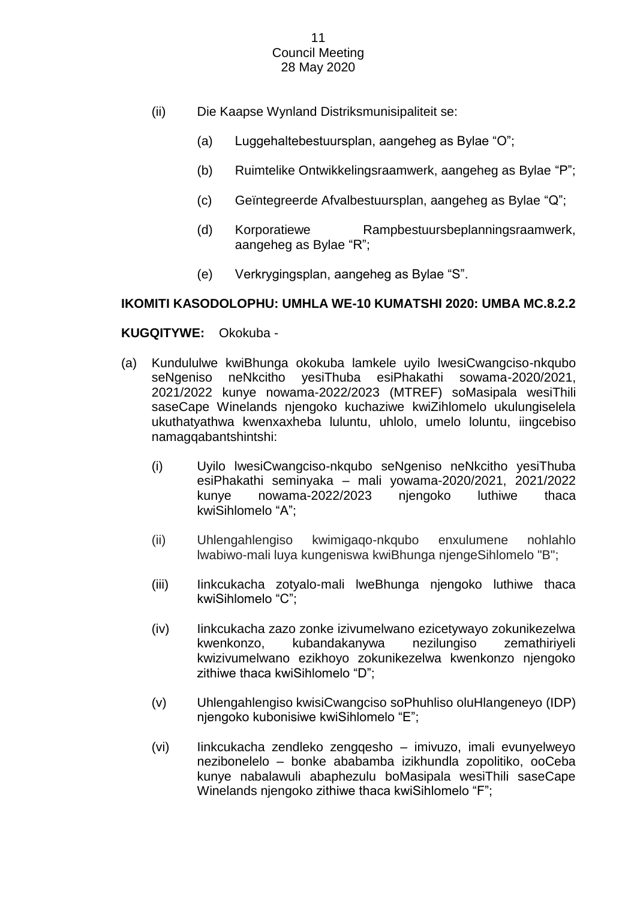- (ii) Die Kaapse Wynland Distriksmunisipaliteit se:
	- (a) Luggehaltebestuursplan, aangeheg as Bylae "O";
	- (b) Ruimtelike Ontwikkelingsraamwerk, aangeheg as Bylae "P";
	- (c) Geïntegreerde Afvalbestuursplan, aangeheg as Bylae "Q";
	- (d) Korporatiewe Rampbestuursbeplanningsraamwerk, aangeheg as Bylae "R";
	- (e) Verkrygingsplan, aangeheg as Bylae "S".

# **IKOMITI KASODOLOPHU: UMHLA WE-10 KUMATSHI 2020: UMBA MC.8.2.2**

# **KUGQITYWE:** Okokuba -

- (a) Kundululwe kwiBhunga okokuba lamkele uyilo lwesiCwangciso-nkqubo seNgeniso neNkcitho yesiThuba esiPhakathi sowama-2020/2021, 2021/2022 kunye nowama-2022/2023 (MTREF) soMasipala wesiThili saseCape Winelands njengoko kuchaziwe kwiZihlomelo ukulungiselela ukuthatyathwa kwenxaxheba luluntu, uhlolo, umelo loluntu, iingcebiso namagqabantshintshi:
	- (i) Uyilo lwesiCwangciso-nkqubo seNgeniso neNkcitho yesiThuba esiPhakathi seminyaka – mali yowama-2020/2021, 2021/2022 kunye nowama-2022/2023 njengoko luthiwe thaca kwiSihlomelo "A";
	- (ii) Uhlengahlengiso kwimigaqo-nkqubo enxulumene nohlahlo lwabiwo-mali luya kungeniswa kwiBhunga njengeSihlomelo "B";
	- (iii) Iinkcukacha zotyalo-mali lweBhunga njengoko luthiwe thaca kwiSihlomelo "C";
	- (iv) Iinkcukacha zazo zonke izivumelwano ezicetywayo zokunikezelwa kwenkonzo, kubandakanywa nezilungiso zemathiriyeli kwizivumelwano ezikhoyo zokunikezelwa kwenkonzo njengoko zithiwe thaca kwiSihlomelo "D";
	- (v) Uhlengahlengiso kwisiCwangciso soPhuhliso oluHlangeneyo (IDP) njengoko kubonisiwe kwiSihlomelo "E";
	- (vi) Iinkcukacha zendleko zengqesho imivuzo, imali evunyelweyo nezibonelelo – bonke ababamba izikhundla zopolitiko, ooCeba kunye nabalawuli abaphezulu boMasipala wesiThili saseCape Winelands njengoko zithiwe thaca kwiSihlomelo "F";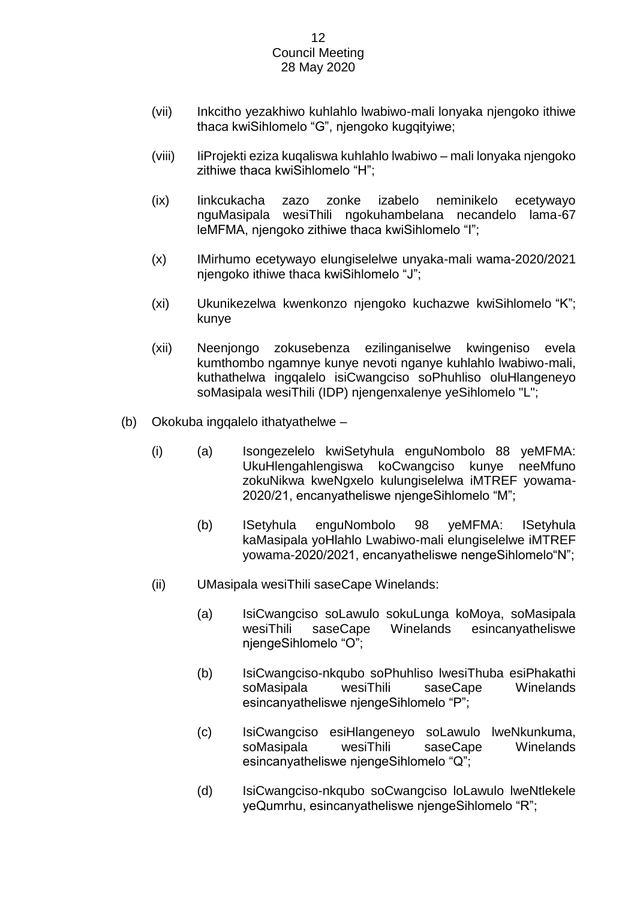- (vii) Inkcitho yezakhiwo kuhlahlo lwabiwo-mali lonyaka njengoko ithiwe thaca kwiSihlomelo "G", njengoko kugqityiwe;
- (viii) IiProjekti eziza kuqaliswa kuhlahlo lwabiwo mali lonyaka njengoko zithiwe thaca kwiSihlomelo "H";
- (ix) Iinkcukacha zazo zonke izabelo neminikelo ecetywayo nguMasipala wesiThili ngokuhambelana necandelo lama-67 leMFMA, njengoko zithiwe thaca kwiSihlomelo "I";
- (x) IMirhumo ecetywayo elungiselelwe unyaka-mali wama-2020/2021 njengoko ithiwe thaca kwiSihlomelo "J";
- (xi) Ukunikezelwa kwenkonzo njengoko kuchazwe kwiSihlomelo "K"; kunye
- (xii) Neenjongo zokusebenza ezilinganiselwe kwingeniso evela kumthombo ngamnye kunye nevoti nganye kuhlahlo lwabiwo-mali, kuthathelwa ingqalelo isiCwangciso soPhuhliso oluHlangeneyo soMasipala wesiThili (IDP) njengenxalenye yeSihlomelo "L";
- (b) Okokuba ingqalelo ithatyathelwe
	- (i) (a) Isongezelelo kwiSetyhula enguNombolo 88 yeMFMA: UkuHlengahlengiswa koCwangciso kunye neeMfuno zokuNikwa kweNgxelo kulungiselelwa iMTREF yowama-2020/21, encanyatheliswe njengeSihlomelo "M";
		- (b) ISetyhula enguNombolo 98 yeMFMA: ISetyhula kaMasipala yoHlahlo Lwabiwo-mali elungiselelwe iMTREF yowama-2020/2021, encanyatheliswe nengeSihlomelo"N";
	- (ii) UMasipala wesiThili saseCape Winelands:
		- (a) IsiCwangciso soLawulo sokuLunga koMoya, soMasipala wesiThili saseCape Winelands esincanyatheliswe njengeSihlomelo "O";
		- (b) IsiCwangciso-nkqubo soPhuhliso lwesiThuba esiPhakathi soMasipala wesiThili saseCape Winelands esincanyatheliswe njengeSihlomelo "P";
		- (c) IsiCwangciso esiHlangeneyo soLawulo lweNkunkuma, soMasipala wesiThili saseCape Winelands esincanyatheliswe njengeSihlomelo "Q";
		- (d) IsiCwangciso-nkqubo soCwangciso loLawulo lweNtlekele yeQumrhu, esincanyatheliswe njengeSihlomelo "R";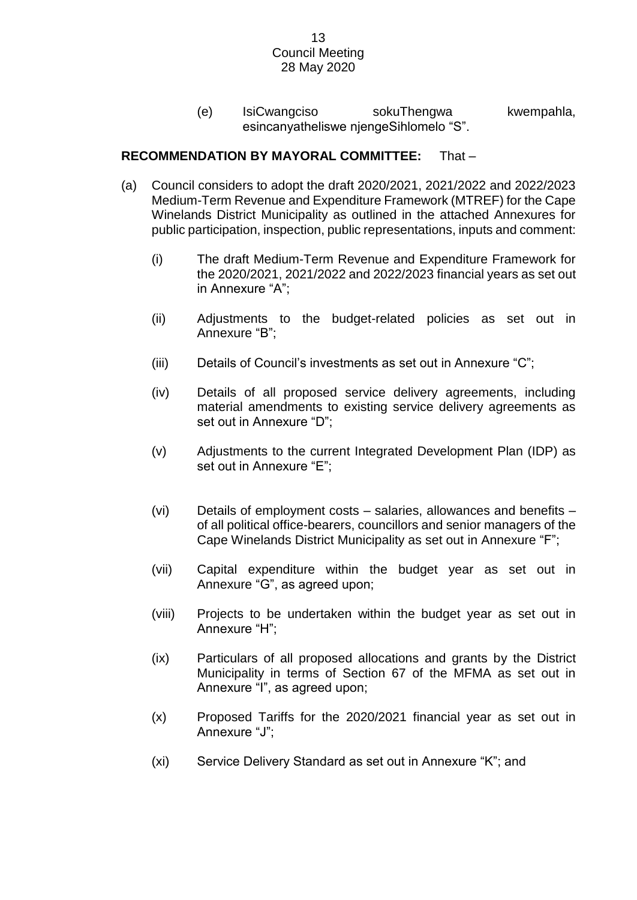(e) IsiCwangciso sokuThengwa kwempahla, esincanyatheliswe njengeSihlomelo "S".

# **RECOMMENDATION BY MAYORAL COMMITTEE:** That –

- (a) Council considers to adopt the draft 2020/2021, 2021/2022 and 2022/2023 Medium-Term Revenue and Expenditure Framework (MTREF) for the Cape Winelands District Municipality as outlined in the attached Annexures for public participation, inspection, public representations, inputs and comment:
	- (i) The draft Medium-Term Revenue and Expenditure Framework for the 2020/2021, 2021/2022 and 2022/2023 financial years as set out in Annexure "A";
	- (ii) Adjustments to the budget-related policies as set out in Annexure "B";
	- (iii) Details of Council's investments as set out in Annexure "C";
	- (iv) Details of all proposed service delivery agreements, including material amendments to existing service delivery agreements as set out in Annexure "D";
	- (v) Adjustments to the current Integrated Development Plan (IDP) as set out in Annexure "E";
	- (vi) Details of employment costs salaries, allowances and benefits of all political office-bearers, councillors and senior managers of the Cape Winelands District Municipality as set out in Annexure "F";
	- (vii) Capital expenditure within the budget year as set out in Annexure "G", as agreed upon;
	- (viii) Projects to be undertaken within the budget year as set out in Annexure "H";
	- (ix) Particulars of all proposed allocations and grants by the District Municipality in terms of Section 67 of the MFMA as set out in Annexure "I", as agreed upon;
	- (x) Proposed Tariffs for the 2020/2021 financial year as set out in Annexure "J";
	- (xi) Service Delivery Standard as set out in Annexure "K"; and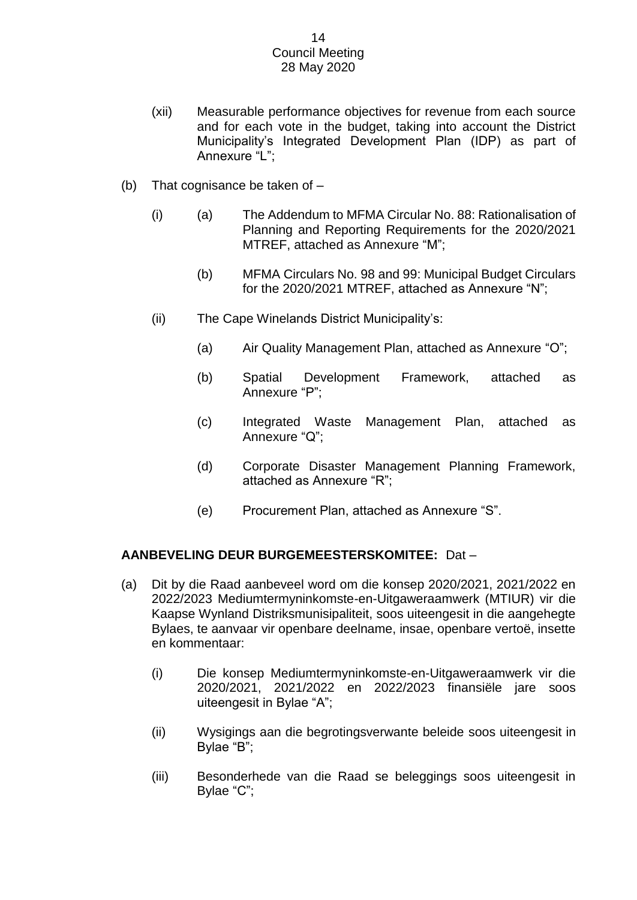- (xii) Measurable performance objectives for revenue from each source and for each vote in the budget, taking into account the District Municipality's Integrated Development Plan (IDP) as part of Annexure "L";
- (b) That cognisance be taken of
	- (i) (a) The Addendum to MFMA Circular No. 88: Rationalisation of Planning and Reporting Requirements for the 2020/2021 MTREF, attached as Annexure "M";
		- (b) MFMA Circulars No. 98 and 99: Municipal Budget Circulars for the 2020/2021 MTREF, attached as Annexure "N";
	- (ii) The Cape Winelands District Municipality's:
		- (a) Air Quality Management Plan, attached as Annexure "O";
		- (b) Spatial Development Framework, attached as Annexure "P";
		- (c) Integrated Waste Management Plan, attached as Annexure "Q";
		- (d) Corporate Disaster Management Planning Framework, attached as Annexure "R";
		- (e) Procurement Plan, attached as Annexure "S".

# **AANBEVELING DEUR BURGEMEESTERSKOMITEE:** Dat –

- (a) Dit by die Raad aanbeveel word om die konsep 2020/2021, 2021/2022 en 2022/2023 Mediumtermyninkomste-en-Uitgaweraamwerk (MTIUR) vir die Kaapse Wynland Distriksmunisipaliteit, soos uiteengesit in die aangehegte Bylaes, te aanvaar vir openbare deelname, insae, openbare vertoë, insette en kommentaar:
	- (i) Die konsep Mediumtermyninkomste-en-Uitgaweraamwerk vir die 2020/2021, 2021/2022 en 2022/2023 finansiële jare soos uiteengesit in Bylae "A";
	- (ii) Wysigings aan die begrotingsverwante beleide soos uiteengesit in Bylae "B";
	- (iii) Besonderhede van die Raad se beleggings soos uiteengesit in Bylae "C";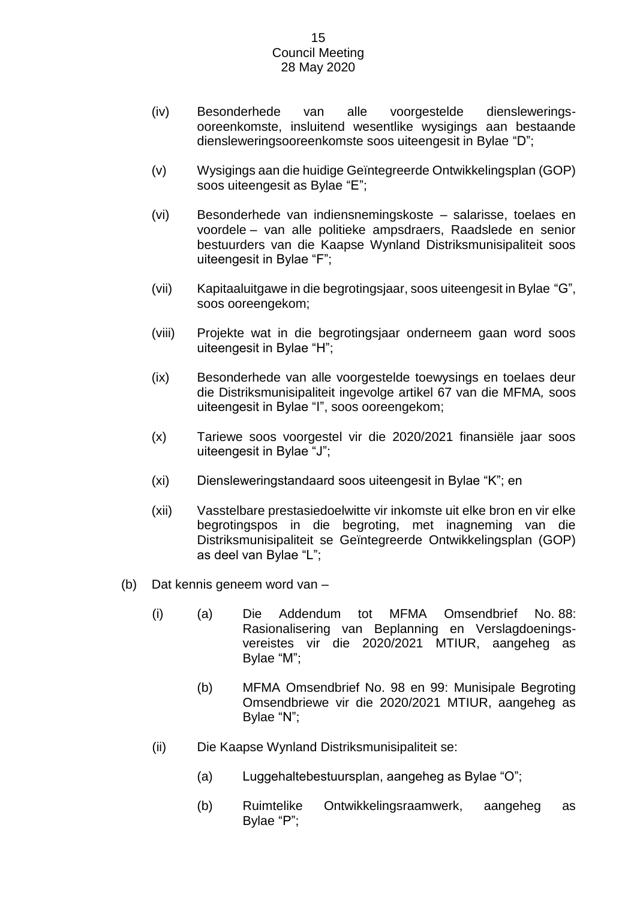- (iv) Besonderhede van alle voorgestelde diensleweringsooreenkomste, insluitend wesentlike wysigings aan bestaande diensleweringsooreenkomste soos uiteengesit in Bylae "D";
- (v) Wysigings aan die huidige Geïntegreerde Ontwikkelingsplan (GOP) soos uiteengesit as Bylae "E";
- (vi) Besonderhede van indiensnemingskoste salarisse, toelaes en voordele – van alle politieke ampsdraers, Raadslede en senior bestuurders van die Kaapse Wynland Distriksmunisipaliteit soos uiteengesit in Bylae "F";
- (vii) Kapitaaluitgawe in die begrotingsjaar, soos uiteengesit in Bylae "G", soos ooreengekom;
- (viii) Projekte wat in die begrotingsjaar onderneem gaan word soos uiteengesit in Bylae "H";
- (ix) Besonderhede van alle voorgestelde toewysings en toelaes deur die Distriksmunisipaliteit ingevolge artikel 67 van die MFMA*,* soos uiteengesit in Bylae "I", soos ooreengekom;
- (x) Tariewe soos voorgestel vir die 2020/2021 finansiële jaar soos uiteengesit in Bylae "J";
- (xi) Diensleweringstandaard soos uiteengesit in Bylae "K"; en
- (xii) Vasstelbare prestasiedoelwitte vir inkomste uit elke bron en vir elke begrotingspos in die begroting, met inagneming van die Distriksmunisipaliteit se Geïntegreerde Ontwikkelingsplan (GOP) as deel van Bylae "L";
- (b) Dat kennis geneem word van
	- (i) (a) Die Addendum tot MFMA Omsendbrief No. 88: Rasionalisering van Beplanning en Verslagdoeningsvereistes vir die 2020/2021 MTIUR, aangeheg as Bylae "M";
		- (b) MFMA Omsendbrief No. 98 en 99: Munisipale Begroting Omsendbriewe vir die 2020/2021 MTIUR, aangeheg as Bylae "N";
	- (ii) Die Kaapse Wynland Distriksmunisipaliteit se:
		- (a) Luggehaltebestuursplan, aangeheg as Bylae "O";
		- (b) Ruimtelike Ontwikkelingsraamwerk, aangeheg as Bylae "P";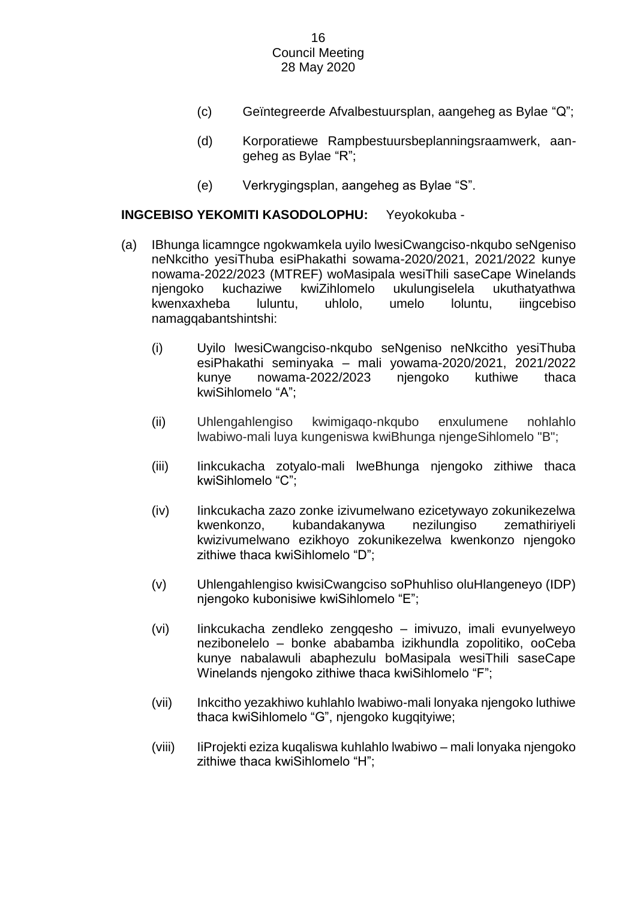- (c) Geïntegreerde Afvalbestuursplan, aangeheg as Bylae "Q";
- (d) Korporatiewe Rampbestuursbeplanningsraamwerk, aangeheg as Bylae "R";
- (e) Verkrygingsplan, aangeheg as Bylae "S".

# **INGCEBISO YEKOMITI KASODOLOPHU:** Yeyokokuba -

- (a) IBhunga licamngce ngokwamkela uyilo lwesiCwangciso-nkqubo seNgeniso neNkcitho yesiThuba esiPhakathi sowama-2020/2021, 2021/2022 kunye nowama-2022/2023 (MTREF) woMasipala wesiThili saseCape Winelands njengoko kuchaziwe kwiZihlomelo ukulungiselela ukuthatyathwa kwenxaxheba luluntu, uhlolo, umelo loluntu, iingcebiso namagqabantshintshi:
	- (i) Uyilo lwesiCwangciso-nkqubo seNgeniso neNkcitho yesiThuba esiPhakathi seminyaka – mali yowama-2020/2021, 2021/2022 kunye nowama-2022/2023 njengoko kuthiwe thaca kwiSihlomelo "A";
	- (ii) Uhlengahlengiso kwimigaqo-nkqubo enxulumene nohlahlo lwabiwo-mali luya kungeniswa kwiBhunga njengeSihlomelo "B";
	- (iii) Iinkcukacha zotyalo-mali lweBhunga njengoko zithiwe thaca kwiSihlomelo "C";
	- (iv) Iinkcukacha zazo zonke izivumelwano ezicetywayo zokunikezelwa kwenkonzo, kubandakanywa nezilungiso zemathiriyeli kwizivumelwano ezikhoyo zokunikezelwa kwenkonzo njengoko zithiwe thaca kwiSihlomelo "D";
	- (v) Uhlengahlengiso kwisiCwangciso soPhuhliso oluHlangeneyo (IDP) njengoko kubonisiwe kwiSihlomelo "E";
	- (vi) Iinkcukacha zendleko zengqesho imivuzo, imali evunyelweyo nezibonelelo – bonke ababamba izikhundla zopolitiko, ooCeba kunye nabalawuli abaphezulu boMasipala wesiThili saseCape Winelands njengoko zithiwe thaca kwiSihlomelo "F";
	- (vii) Inkcitho yezakhiwo kuhlahlo lwabiwo-mali lonyaka njengoko luthiwe thaca kwiSihlomelo "G", njengoko kugqityiwe;
	- (viii) IiProjekti eziza kuqaliswa kuhlahlo lwabiwo mali lonyaka njengoko zithiwe thaca kwiSihlomelo "H";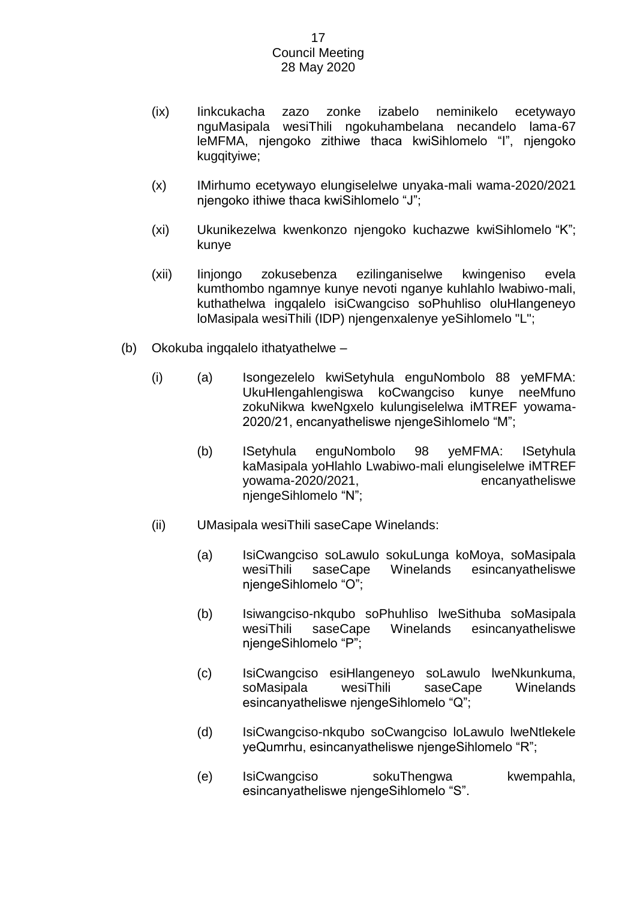- (ix) Iinkcukacha zazo zonke izabelo neminikelo ecetywayo nguMasipala wesiThili ngokuhambelana necandelo lama-67 leMFMA, njengoko zithiwe thaca kwiSihlomelo "I", njengoko kugqityiwe;
- (x) IMirhumo ecetywayo elungiselelwe unyaka-mali wama-2020/2021 njengoko ithiwe thaca kwiSihlomelo "J";
- (xi) Ukunikezelwa kwenkonzo njengoko kuchazwe kwiSihlomelo "K"; kunye
- (xii) Iinjongo zokusebenza ezilinganiselwe kwingeniso evela kumthombo ngamnye kunye nevoti nganye kuhlahlo lwabiwo-mali, kuthathelwa ingqalelo isiCwangciso soPhuhliso oluHlangeneyo loMasipala wesiThili (IDP) njengenxalenye yeSihlomelo "L";
- (b) Okokuba ingqalelo ithatyathelwe
	- (i) (a) Isongezelelo kwiSetyhula enguNombolo 88 yeMFMA: UkuHlengahlengiswa koCwangciso kunye neeMfuno zokuNikwa kweNgxelo kulungiselelwa iMTREF yowama-2020/21, encanyatheliswe njengeSihlomelo "M";
		- (b) ISetyhula enguNombolo 98 yeMFMA: ISetyhula kaMasipala yoHlahlo Lwabiwo-mali elungiselelwe iMTREF yowama-2020/2021, encanyatheliswe njengeSihlomelo "N";
	- (ii) UMasipala wesiThili saseCape Winelands:
		- (a) IsiCwangciso soLawulo sokuLunga koMoya, soMasipala wesiThili saseCape Winelands esincanyatheliswe njengeSihlomelo "O";
		- (b) Isiwangciso-nkqubo soPhuhliso lweSithuba soMasipala wesiThili saseCape Winelands esincanyatheliswe njengeSihlomelo "P";
		- (c) IsiCwangciso esiHlangeneyo soLawulo lweNkunkuma, soMasipala wesiThili saseCape Winelands esincanyatheliswe njengeSihlomelo "Q";
		- (d) IsiCwangciso-nkqubo soCwangciso loLawulo lweNtlekele yeQumrhu, esincanyatheliswe njengeSihlomelo "R";
		- (e) IsiCwangciso sokuThengwa kwempahla, esincanyatheliswe njengeSihlomelo "S".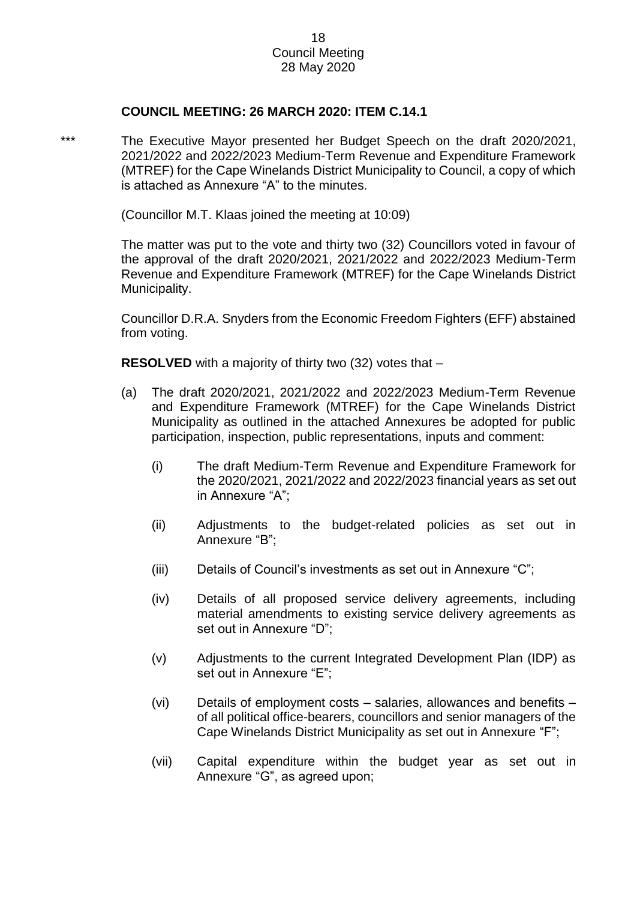# **COUNCIL MEETING: 26 MARCH 2020: ITEM C.14.1**

\*\*\* The Executive Mayor presented her Budget Speech on the draft 2020/2021, 2021/2022 and 2022/2023 Medium-Term Revenue and Expenditure Framework (MTREF) for the Cape Winelands District Municipality to Council, a copy of which is attached as Annexure "A" to the minutes.

(Councillor M.T. Klaas joined the meeting at 10:09)

The matter was put to the vote and thirty two (32) Councillors voted in favour of the approval of the draft 2020/2021, 2021/2022 and 2022/2023 Medium-Term Revenue and Expenditure Framework (MTREF) for the Cape Winelands District Municipality.

Councillor D.R.A. Snyders from the Economic Freedom Fighters (EFF) abstained from voting.

**RESOLVED** with a majority of thirty two (32) votes that –

- (a) The draft 2020/2021, 2021/2022 and 2022/2023 Medium-Term Revenue and Expenditure Framework (MTREF) for the Cape Winelands District Municipality as outlined in the attached Annexures be adopted for public participation, inspection, public representations, inputs and comment:
	- (i) The draft Medium-Term Revenue and Expenditure Framework for the 2020/2021, 2021/2022 and 2022/2023 financial years as set out in Annexure "A";
	- (ii) Adjustments to the budget-related policies as set out in Annexure "B";
	- (iii) Details of Council's investments as set out in Annexure "C";
	- (iv) Details of all proposed service delivery agreements, including material amendments to existing service delivery agreements as set out in Annexure "D";
	- (v) Adjustments to the current Integrated Development Plan (IDP) as set out in Annexure "E";
	- (vi) Details of employment costs salaries, allowances and benefits of all political office-bearers, councillors and senior managers of the Cape Winelands District Municipality as set out in Annexure "F";
	- (vii) Capital expenditure within the budget year as set out in Annexure "G", as agreed upon;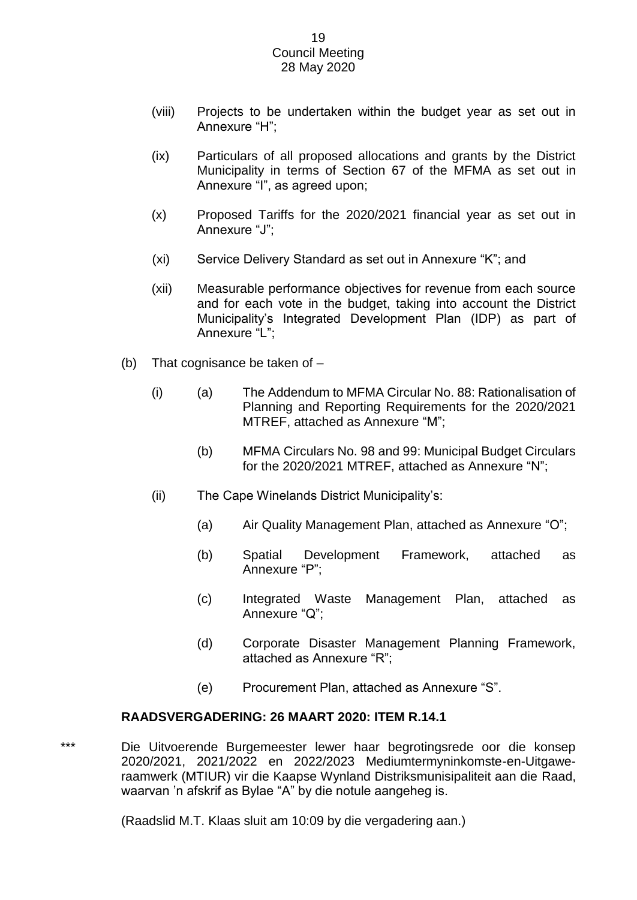- (viii) Projects to be undertaken within the budget year as set out in Annexure "H";
- (ix) Particulars of all proposed allocations and grants by the District Municipality in terms of Section 67 of the MFMA as set out in Annexure "I", as agreed upon;
- (x) Proposed Tariffs for the 2020/2021 financial year as set out in Annexure "J";
- (xi) Service Delivery Standard as set out in Annexure "K"; and
- (xii) Measurable performance objectives for revenue from each source and for each vote in the budget, taking into account the District Municipality's Integrated Development Plan (IDP) as part of Annexure "L";
- (b) That cognisance be taken of
	- (i) (a) The Addendum to MFMA Circular No. 88: Rationalisation of Planning and Reporting Requirements for the 2020/2021 MTREF, attached as Annexure "M";
		- (b) MFMA Circulars No. 98 and 99: Municipal Budget Circulars for the 2020/2021 MTREF, attached as Annexure "N";
	- (ii) The Cape Winelands District Municipality's:
		- (a) Air Quality Management Plan, attached as Annexure "O";
		- (b) Spatial Development Framework, attached as Annexure "P";
		- (c) Integrated Waste Management Plan, attached as Annexure "Q";
		- (d) Corporate Disaster Management Planning Framework, attached as Annexure "R";
		- (e) Procurement Plan, attached as Annexure "S".

# **RAADSVERGADERING: 26 MAART 2020: ITEM R.14.1**

\*\*\* Die Uitvoerende Burgemeester lewer haar begrotingsrede oor die konsep 2020/2021, 2021/2022 en 2022/2023 Mediumtermyninkomste-en-Uitgaweraamwerk (MTIUR) vir die Kaapse Wynland Distriksmunisipaliteit aan die Raad, waarvan 'n afskrif as Bylae "A" by die notule aangeheg is.

(Raadslid M.T. Klaas sluit am 10:09 by die vergadering aan.)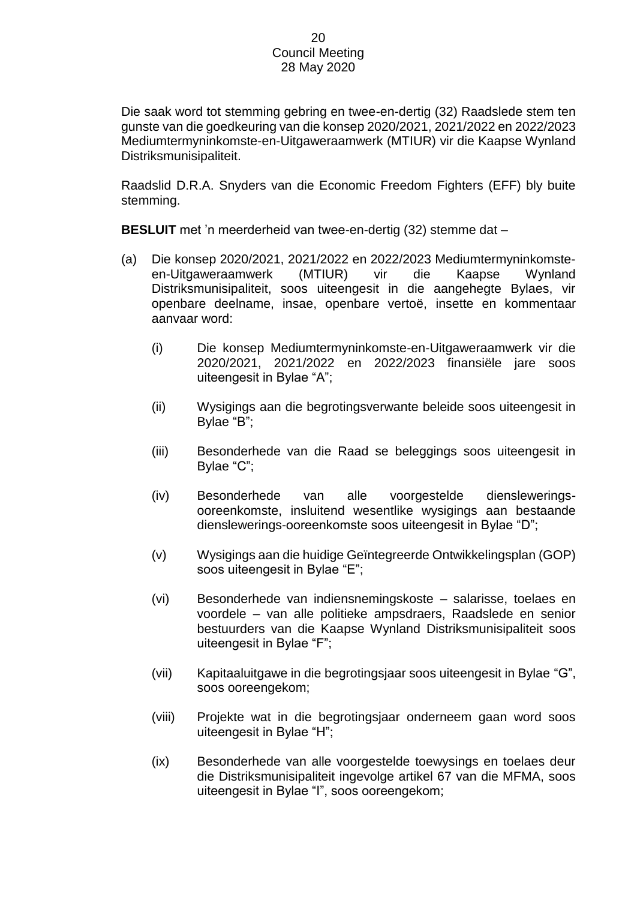Die saak word tot stemming gebring en twee-en-dertig (32) Raadslede stem ten gunste van die goedkeuring van die konsep 2020/2021, 2021/2022 en 2022/2023 Mediumtermyninkomste-en-Uitgaweraamwerk (MTIUR) vir die Kaapse Wynland Distriksmunisipaliteit.

Raadslid D.R.A. Snyders van die Economic Freedom Fighters (EFF) bly buite stemming.

**BESLUIT** met 'n meerderheid van twee-en-dertig (32) stemme dat –

- (a) Die konsep 2020/2021, 2021/2022 en 2022/2023 Mediumtermyninkomsteen-Uitgaweraamwerk (MTIUR) vir die Kaapse Wynland Distriksmunisipaliteit, soos uiteengesit in die aangehegte Bylaes, vir openbare deelname, insae, openbare vertoë, insette en kommentaar aanvaar word:
	- (i) Die konsep Mediumtermyninkomste-en-Uitgaweraamwerk vir die 2020/2021, 2021/2022 en 2022/2023 finansiële jare soos uiteengesit in Bylae "A";
	- (ii) Wysigings aan die begrotingsverwante beleide soos uiteengesit in Bylae "B";
	- (iii) Besonderhede van die Raad se beleggings soos uiteengesit in Bylae "C";
	- (iv) Besonderhede van alle voorgestelde diensleweringsooreenkomste, insluitend wesentlike wysigings aan bestaande dienslewerings-ooreenkomste soos uiteengesit in Bylae "D";
	- (v) Wysigings aan die huidige Geïntegreerde Ontwikkelingsplan (GOP) soos uiteengesit in Bylae "E";
	- (vi) Besonderhede van indiensnemingskoste salarisse, toelaes en voordele – van alle politieke ampsdraers, Raadslede en senior bestuurders van die Kaapse Wynland Distriksmunisipaliteit soos uiteengesit in Bylae "F";
	- (vii) Kapitaaluitgawe in die begrotingsjaar soos uiteengesit in Bylae "G", soos ooreengekom;
	- (viii) Projekte wat in die begrotingsjaar onderneem gaan word soos uiteengesit in Bylae "H";
	- (ix) Besonderhede van alle voorgestelde toewysings en toelaes deur die Distriksmunisipaliteit ingevolge artikel 67 van die MFMA, soos uiteengesit in Bylae "I", soos ooreengekom;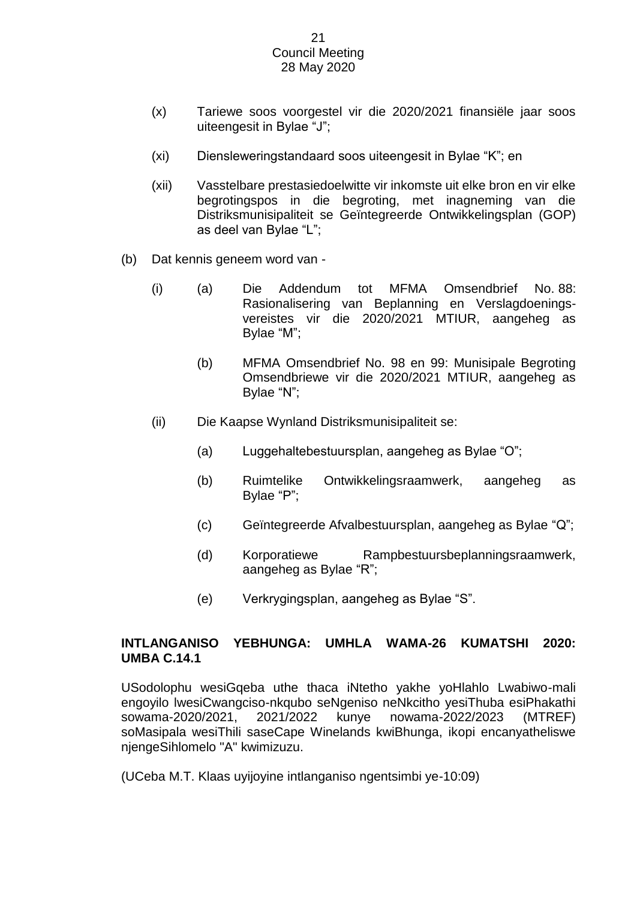- (x) Tariewe soos voorgestel vir die 2020/2021 finansiële jaar soos uiteengesit in Bylae "J";
- (xi) Diensleweringstandaard soos uiteengesit in Bylae "K"; en
- (xii) Vasstelbare prestasiedoelwitte vir inkomste uit elke bron en vir elke begrotingspos in die begroting, met inagneming van die Distriksmunisipaliteit se Geïntegreerde Ontwikkelingsplan (GOP) as deel van Bylae "L";
- (b) Dat kennis geneem word van
	- (i) (a) Die Addendum tot MFMA Omsendbrief No. 88: Rasionalisering van Beplanning en Verslagdoeningsvereistes vir die 2020/2021 MTIUR, aangeheg as Bylae "M";
		- (b) MFMA Omsendbrief No. 98 en 99: Munisipale Begroting Omsendbriewe vir die 2020/2021 MTIUR, aangeheg as Bylae "N";
	- (ii) Die Kaapse Wynland Distriksmunisipaliteit se:
		- (a) Luggehaltebestuursplan, aangeheg as Bylae "O";
		- (b) Ruimtelike Ontwikkelingsraamwerk, aangeheg as Bylae "P";
		- (c) Geïntegreerde Afvalbestuursplan, aangeheg as Bylae "Q";
		- (d) Korporatiewe Rampbestuursbeplanningsraamwerk, aangeheg as Bylae "R";
		- (e) Verkrygingsplan, aangeheg as Bylae "S".

# **INTLANGANISO YEBHUNGA: UMHLA WAMA-26 KUMATSHI 2020: UMBA C.14.1**

USodolophu wesiGqeba uthe thaca iNtetho yakhe yoHlahlo Lwabiwo-mali engoyilo lwesiCwangciso-nkqubo seNgeniso neNkcitho yesiThuba esiPhakathi sowama-2020/2021, 2021/2022 kunye nowama-2022/2023 (MTREF) soMasipala wesiThili saseCape Winelands kwiBhunga, ikopi encanyatheliswe njengeSihlomelo "A" kwimizuzu.

(UCeba M.T. Klaas uyijoyine intlanganiso ngentsimbi ye-10:09)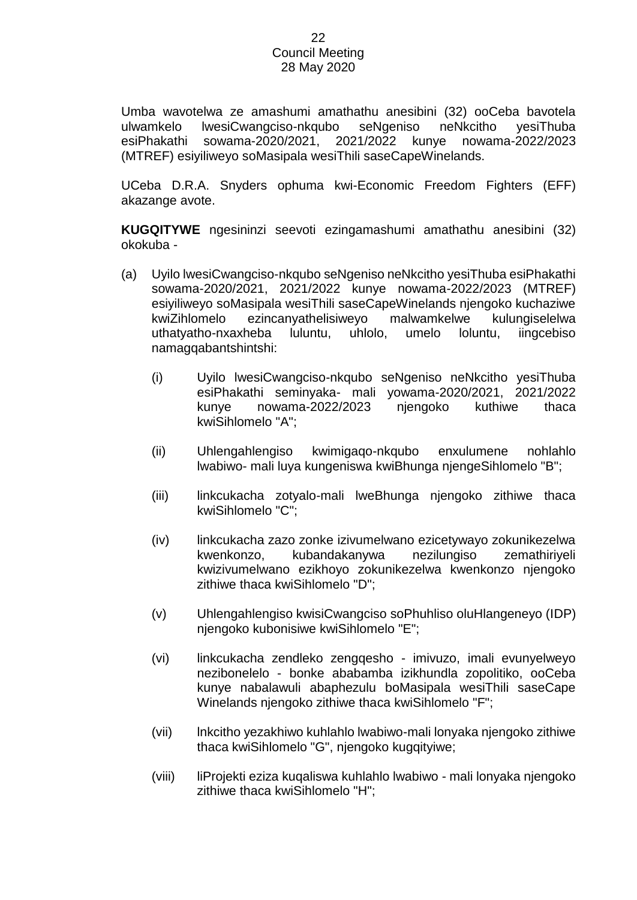Umba wavotelwa ze amashumi amathathu anesibini (32) ooCeba bavotela ulwamkelo lwesiCwangciso-nkqubo seNgeniso neNkcitho yesiThuba esiPhakathi sowama-2020/2021, 2021/2022 kunye nowama-2022/2023 (MTREF) esiyiliweyo soMasipala wesiThili saseCapeWinelands.

UCeba D.R.A. Snyders ophuma kwi-Economic Freedom Fighters (EFF) akazange avote.

**KUGQITYWE** ngesininzi seevoti ezingamashumi amathathu anesibini (32) okokuba -

- (a) Uyilo lwesiCwangciso-nkqubo seNgeniso neNkcitho yesiThuba esiPhakathi sowama-2020/2021, 2021/2022 kunye nowama-2022/2023 (MTREF) esiyiliweyo soMasipala wesiThili saseCapeWinelands njengoko kuchaziwe kwiZihlomelo ezincanyathelisiweyo malwamkelwe kulungiselelwa uthatyatho-nxaxheba luluntu, uhlolo, umelo loluntu, iingcebiso namagqabantshintshi:
	- (i) Uyilo lwesiCwangciso-nkqubo seNgeniso neNkcitho yesiThuba esiPhakathi seminyaka- mali yowama-2020/2021, 2021/2022 kunye nowama-2022/2023 njengoko kuthiwe thaca kwiSihlomelo "A";
	- (ii) Uhlengahlengiso kwimigaqo-nkqubo enxulumene nohlahlo lwabiwo- mali luya kungeniswa kwiBhunga njengeSihlomelo "B";
	- (iii) linkcukacha zotyalo-mali lweBhunga njengoko zithiwe thaca kwiSihlomelo "C";
	- (iv) linkcukacha zazo zonke izivumelwano ezicetywayo zokunikezelwa kwenkonzo, kubandakanywa nezilungiso zemathiriyeli kwizivumelwano ezikhoyo zokunikezelwa kwenkonzo njengoko zithiwe thaca kwiSihlomelo "D";
	- (v) Uhlengahlengiso kwisiCwangciso soPhuhliso oluHlangeneyo (IDP) njengoko kubonisiwe kwiSihlomelo "E";
	- (vi) linkcukacha zendleko zengqesho imivuzo, imali evunyelweyo nezibonelelo - bonke ababamba izikhundla zopolitiko, ooCeba kunye nabalawuli abaphezulu boMasipala wesiThili saseCape Winelands njengoko zithiwe thaca kwiSihlomelo "F";
	- (vii) lnkcitho yezakhiwo kuhlahlo lwabiwo-mali lonyaka njengoko zithiwe thaca kwiSihlomelo "G", njengoko kugqityiwe;
	- (viii) liProjekti eziza kuqaliswa kuhlahlo lwabiwo mali lonyaka njengoko zithiwe thaca kwiSihlomelo "H";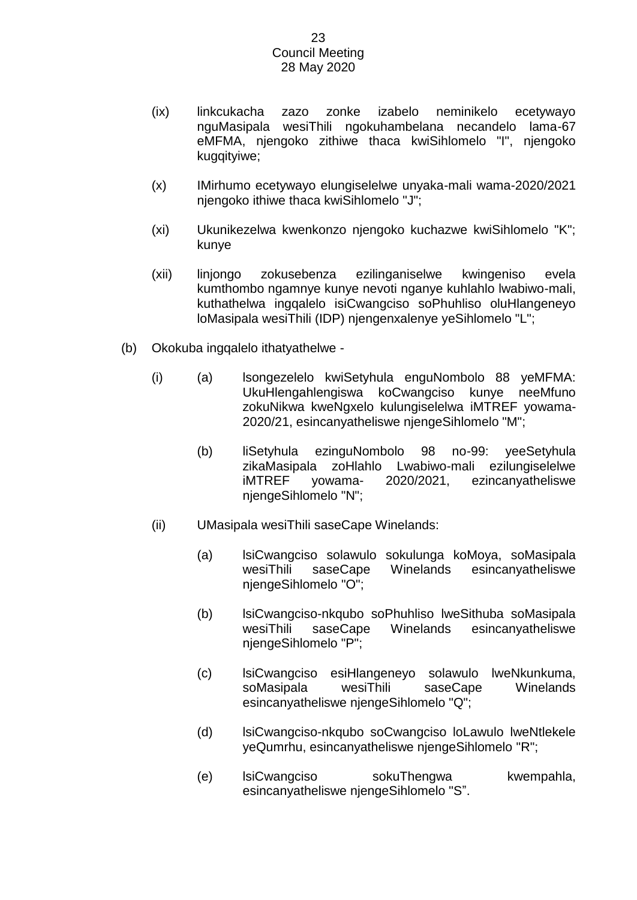- (ix) linkcukacha zazo zonke izabelo neminikelo ecetywayo nguMasipala wesiThili ngokuhambelana necandelo lama-67 eMFMA, njengoko zithiwe thaca kwiSihlomelo "I", njengoko kugqityiwe;
- (x) IMirhumo ecetywayo elungiselelwe unyaka-mali wama-2020/2021 njengoko ithiwe thaca kwiSihlomelo "J";
- (xi) Ukunikezelwa kwenkonzo njengoko kuchazwe kwiSihlomelo "K"; kunye
- (xii) linjongo zokusebenza ezilinganiselwe kwingeniso evela kumthombo ngamnye kunye nevoti nganye kuhlahlo lwabiwo-mali, kuthathelwa ingqalelo isiCwangciso soPhuhliso oluHlangeneyo loMasipala wesiThili (IDP) njengenxalenye yeSihlomelo "L";
- (b) Okokuba ingqalelo ithatyathelwe
	- (i) (a) lsongezelelo kwiSetyhula enguNombolo 88 yeMFMA: UkuHlengahlengiswa koCwangciso kunye neeMfuno zokuNikwa kweNgxelo kulungiselelwa iMTREF yowama-2020/21, esincanyatheliswe njengeSihlomelo "M";
		- (b) liSetyhula ezinguNombolo 98 no-99: yeeSetyhula zikaMasipala zoHlahlo Lwabiwo-mali ezilungiselelwe iMTREF yowama- 2020/2021, ezincanyatheliswe njengeSihlomelo "N";
	- (ii) UMasipala wesiThili saseCape Winelands:
		- (a) lsiCwangciso solawulo sokulunga koMoya, soMasipala wesiThili saseCape Winelands esincanyatheliswe njengeSihlomelo "O";
		- (b) lsiCwangciso-nkqubo soPhuhliso lweSithuba soMasipala wesiThili saseCape Winelands esincanyatheliswe njengeSihlomelo "P";
		- (c) lsiCwangciso esiHlangeneyo solawulo lweNkunkuma, soMasipala wesiThili saseCape Winelands esincanyatheliswe njengeSihlomelo "Q";
		- (d) lsiCwangciso-nkqubo soCwangciso loLawulo lweNtlekele yeQumrhu, esincanyatheliswe njengeSihlomelo "R";
		- (e) lsiCwangciso sokuThengwa kwempahla, esincanyatheliswe njengeSihlomelo "S".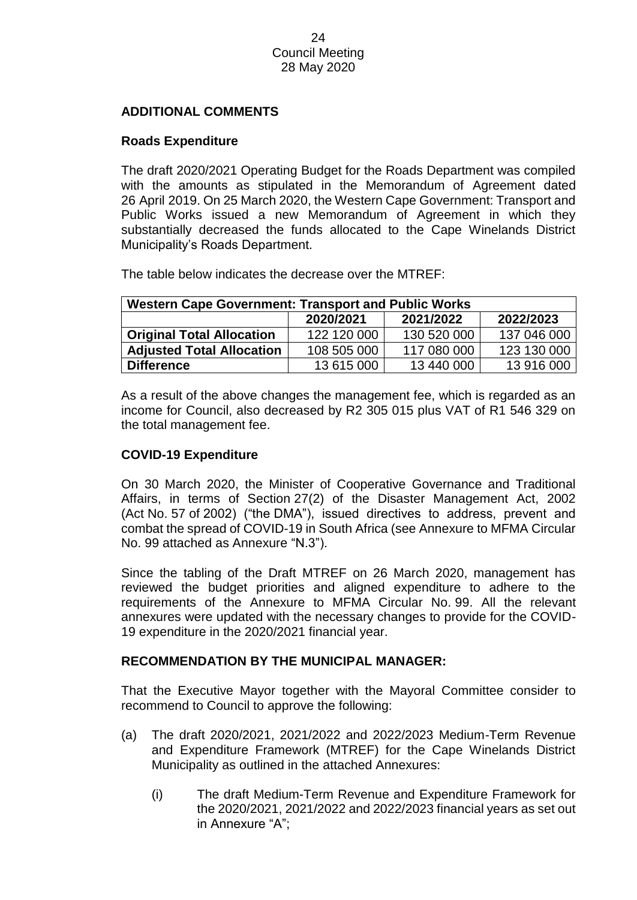# **ADDITIONAL COMMENTS**

# **Roads Expenditure**

The draft 2020/2021 Operating Budget for the Roads Department was compiled with the amounts as stipulated in the Memorandum of Agreement dated 26 April 2019. On 25 March 2020, the Western Cape Government: Transport and Public Works issued a new Memorandum of Agreement in which they substantially decreased the funds allocated to the Cape Winelands District Municipality's Roads Department.

The table below indicates the decrease over the MTREF:

| <b>Western Cape Government: Transport and Public Works</b> |             |             |             |
|------------------------------------------------------------|-------------|-------------|-------------|
|                                                            | 2020/2021   | 2021/2022   | 2022/2023   |
| <b>Original Total Allocation</b>                           | 122 120 000 | 130 520 000 | 137 046 000 |
| <b>Adjusted Total Allocation</b>                           | 108 505 000 | 117 080 000 | 123 130 000 |
| <b>Difference</b>                                          | 13 615 000  | 13 440 000  | 13 916 000  |

As a result of the above changes the management fee, which is regarded as an income for Council, also decreased by R2 305 015 plus VAT of R1 546 329 on the total management fee.

# **COVID-19 Expenditure**

On 30 March 2020, the Minister of Cooperative Governance and Traditional Affairs, in terms of Section 27(2) of the Disaster Management Act, 2002 (Act No. 57 of 2002) ("the DMA"), issued directives to address, prevent and combat the spread of COVID-19 in South Africa (see Annexure to MFMA Circular No. 99 attached as Annexure "N.3").

Since the tabling of the Draft MTREF on 26 March 2020, management has reviewed the budget priorities and aligned expenditure to adhere to the requirements of the Annexure to MFMA Circular No. 99. All the relevant annexures were updated with the necessary changes to provide for the COVID-19 expenditure in the 2020/2021 financial year.

# **RECOMMENDATION BY THE MUNICIPAL MANAGER:**

That the Executive Mayor together with the Mayoral Committee consider to recommend to Council to approve the following:

- (a) The draft 2020/2021, 2021/2022 and 2022/2023 Medium-Term Revenue and Expenditure Framework (MTREF) for the Cape Winelands District Municipality as outlined in the attached Annexures:
	- (i) The draft Medium-Term Revenue and Expenditure Framework for the 2020/2021, 2021/2022 and 2022/2023 financial years as set out in Annexure "A";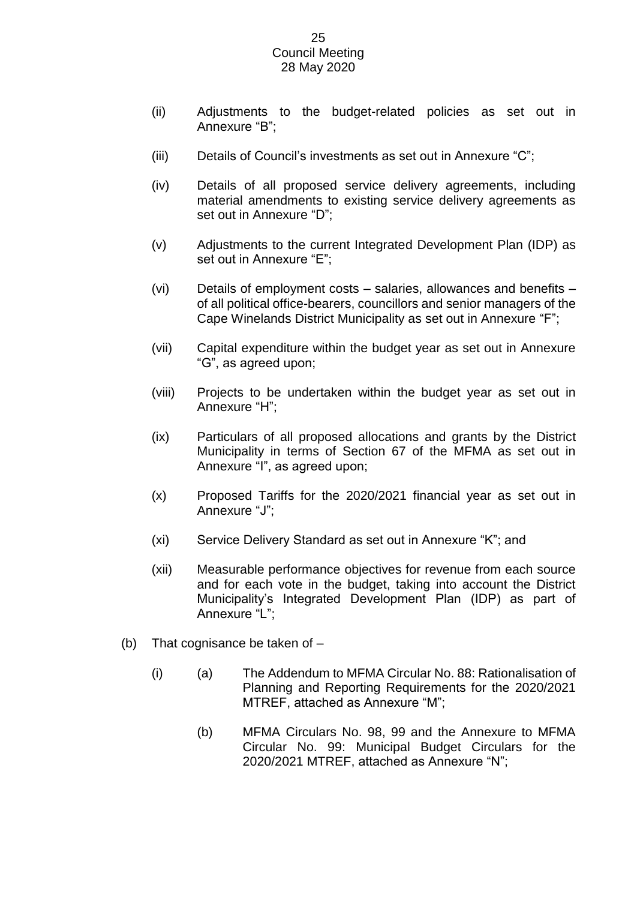- (ii) Adjustments to the budget-related policies as set out in Annexure "B";
- (iii) Details of Council's investments as set out in Annexure "C";
- (iv) Details of all proposed service delivery agreements, including material amendments to existing service delivery agreements as set out in Annexure "D";
- (v) Adjustments to the current Integrated Development Plan (IDP) as set out in Annexure "E";
- (vi) Details of employment costs salaries, allowances and benefits of all political office-bearers, councillors and senior managers of the Cape Winelands District Municipality as set out in Annexure "F";
- (vii) Capital expenditure within the budget year as set out in Annexure "G", as agreed upon;
- (viii) Projects to be undertaken within the budget year as set out in Annexure "H";
- (ix) Particulars of all proposed allocations and grants by the District Municipality in terms of Section 67 of the MFMA as set out in Annexure "I", as agreed upon;
- (x) Proposed Tariffs for the 2020/2021 financial year as set out in Annexure "J";
- (xi) Service Delivery Standard as set out in Annexure "K"; and
- (xii) Measurable performance objectives for revenue from each source and for each vote in the budget, taking into account the District Municipality's Integrated Development Plan (IDP) as part of Annexure "L";
- (b) That cognisance be taken of
	- (i) (a) The Addendum to MFMA Circular No. 88: Rationalisation of Planning and Reporting Requirements for the 2020/2021 MTREF, attached as Annexure "M";
		- (b) MFMA Circulars No. 98, 99 and the Annexure to MFMA Circular No. 99: Municipal Budget Circulars for the 2020/2021 MTREF, attached as Annexure "N";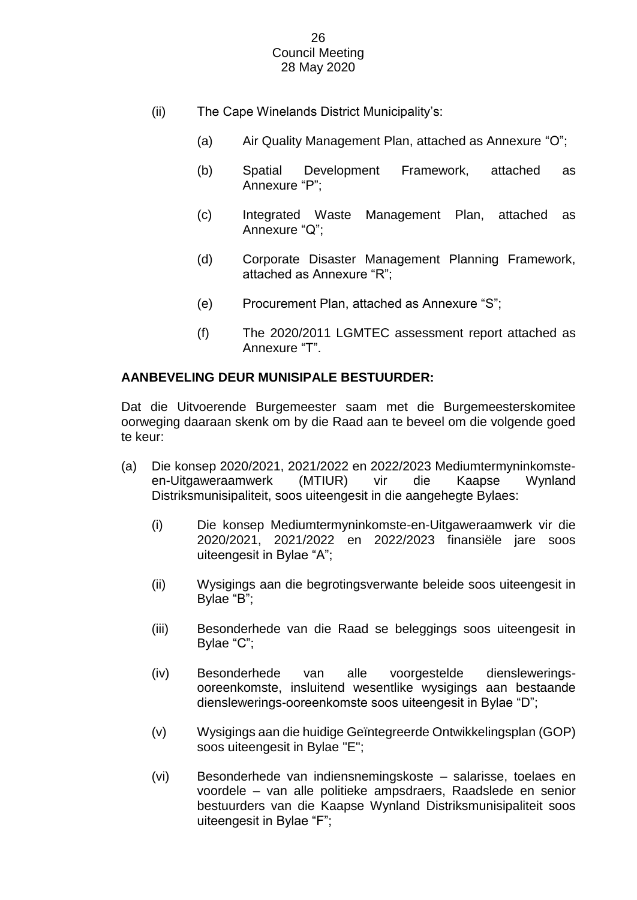- (ii) The Cape Winelands District Municipality's:
	- (a) Air Quality Management Plan, attached as Annexure "O";
	- (b) Spatial Development Framework, attached as Annexure "P";
	- (c) Integrated Waste Management Plan, attached as Annexure "Q";
	- (d) Corporate Disaster Management Planning Framework, attached as Annexure "R";
	- (e) Procurement Plan, attached as Annexure "S";
	- (f) The 2020/2011 LGMTEC assessment report attached as Annexure "T".

# **AANBEVELING DEUR MUNISIPALE BESTUURDER:**

Dat die Uitvoerende Burgemeester saam met die Burgemeesterskomitee oorweging daaraan skenk om by die Raad aan te beveel om die volgende goed te keur:

- (a) Die konsep 2020/2021, 2021/2022 en 2022/2023 Mediumtermyninkomsteen-Uitgaweraamwerk (MTIUR) vir die Kaapse Wynland Distriksmunisipaliteit, soos uiteengesit in die aangehegte Bylaes:
	- (i) Die konsep Mediumtermyninkomste-en-Uitgaweraamwerk vir die 2020/2021, 2021/2022 en 2022/2023 finansiële jare soos uiteengesit in Bylae "A";
	- (ii) Wysigings aan die begrotingsverwante beleide soos uiteengesit in Bylae "B";
	- (iii) Besonderhede van die Raad se beleggings soos uiteengesit in Bylae "C";
	- (iv) Besonderhede van alle voorgestelde diensleweringsooreenkomste, insluitend wesentlike wysigings aan bestaande dienslewerings-ooreenkomste soos uiteengesit in Bylae "D";
	- (v) Wysigings aan die huidige Geïntegreerde Ontwikkelingsplan (GOP) soos uiteengesit in Bylae "E";
	- (vi) Besonderhede van indiensnemingskoste salarisse, toelaes en voordele – van alle politieke ampsdraers, Raadslede en senior bestuurders van die Kaapse Wynland Distriksmunisipaliteit soos uiteengesit in Bylae "F";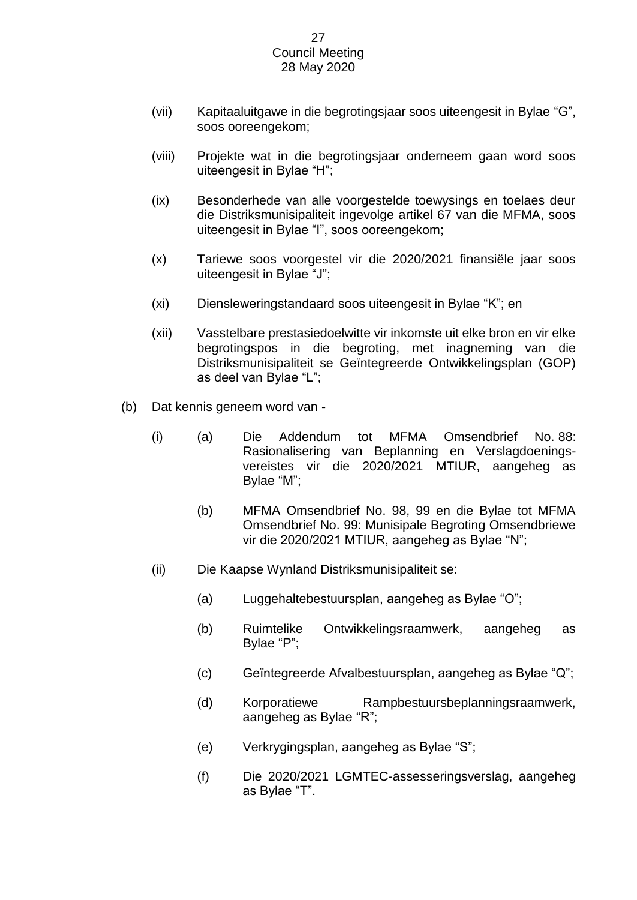- (vii) Kapitaaluitgawe in die begrotingsjaar soos uiteengesit in Bylae "G", soos ooreengekom;
- (viii) Projekte wat in die begrotingsjaar onderneem gaan word soos uiteengesit in Bylae "H";
- (ix) Besonderhede van alle voorgestelde toewysings en toelaes deur die Distriksmunisipaliteit ingevolge artikel 67 van die MFMA, soos uiteengesit in Bylae "I", soos ooreengekom;
- (x) Tariewe soos voorgestel vir die 2020/2021 finansiële jaar soos uiteengesit in Bylae "J";
- (xi) Diensleweringstandaard soos uiteengesit in Bylae "K"; en
- (xii) Vasstelbare prestasiedoelwitte vir inkomste uit elke bron en vir elke begrotingspos in die begroting, met inagneming van die Distriksmunisipaliteit se Geïntegreerde Ontwikkelingsplan (GOP) as deel van Bylae "L";
- (b) Dat kennis geneem word van
	- (i) (a) Die Addendum tot MFMA Omsendbrief No. 88: Rasionalisering van Beplanning en Verslagdoeningsvereistes vir die 2020/2021 MTIUR, aangeheg as Bylae "M";
		- (b) MFMA Omsendbrief No. 98, 99 en die Bylae tot MFMA Omsendbrief No. 99: Munisipale Begroting Omsendbriewe vir die 2020/2021 MTIUR, aangeheg as Bylae "N";
	- (ii) Die Kaapse Wynland Distriksmunisipaliteit se:
		- (a) Luggehaltebestuursplan, aangeheg as Bylae "O";
		- (b) Ruimtelike Ontwikkelingsraamwerk, aangeheg as Bylae "P";
		- (c) Geïntegreerde Afvalbestuursplan, aangeheg as Bylae "Q";
		- (d) Korporatiewe Rampbestuursbeplanningsraamwerk, aangeheg as Bylae "R";
		- (e) Verkrygingsplan, aangeheg as Bylae "S";
		- (f) Die 2020/2021 LGMTEC-assesseringsverslag, aangeheg as Bylae "T".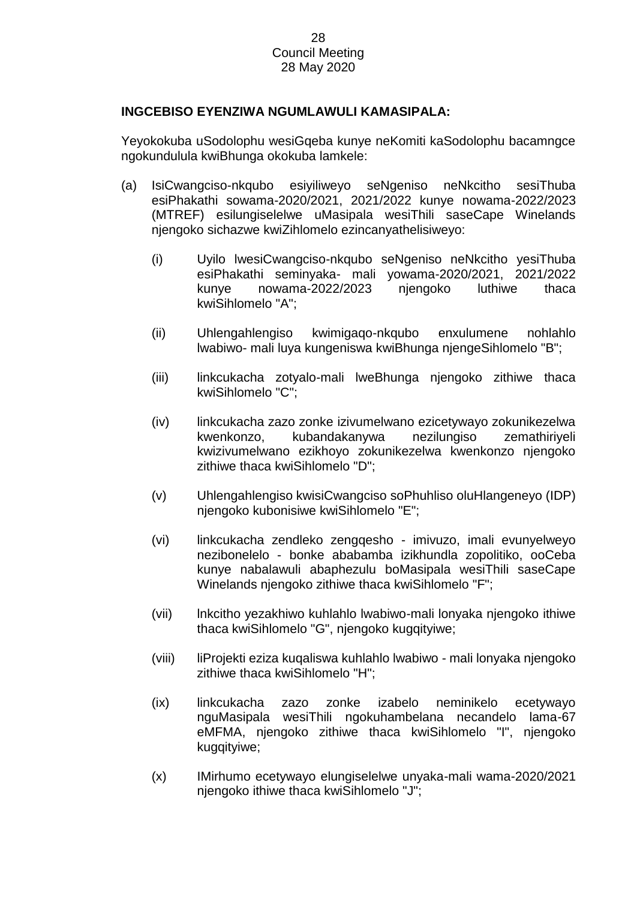# **INGCEBISO EYENZIWA NGUMLAWULI KAMASIPALA:**

Yeyokokuba uSodolophu wesiGqeba kunye neKomiti kaSodolophu bacamngce ngokundulula kwiBhunga okokuba lamkele:

- (a) IsiCwangciso-nkqubo esiyiliweyo seNgeniso neNkcitho sesiThuba esiPhakathi sowama-2020/2021, 2021/2022 kunye nowama-2022/2023 (MTREF) esilungiselelwe uMasipala wesiThili saseCape Winelands njengoko sichazwe kwiZihlomelo ezincanyathelisiweyo:
	- (i) Uyilo lwesiCwangciso-nkqubo seNgeniso neNkcitho yesiThuba esiPhakathi seminyaka- mali yowama-2020/2021, 2021/2022 kunye nowama-2022/2023 njengoko luthiwe thaca kwiSihlomelo "A";
	- (ii) Uhlengahlengiso kwimigaqo-nkqubo enxulumene nohlahlo lwabiwo- mali luya kungeniswa kwiBhunga njengeSihlomelo "B";
	- (iii) linkcukacha zotyalo-mali lweBhunga njengoko zithiwe thaca kwiSihlomelo "C";
	- (iv) linkcukacha zazo zonke izivumelwano ezicetywayo zokunikezelwa kwenkonzo, kubandakanywa nezilungiso zemathiriyeli kwizivumelwano ezikhoyo zokunikezelwa kwenkonzo njengoko zithiwe thaca kwiSihlomelo "D";
	- (v) Uhlengahlengiso kwisiCwangciso soPhuhliso oluHlangeneyo (IDP) njengoko kubonisiwe kwiSihlomelo "E";
	- (vi) linkcukacha zendleko zengqesho imivuzo, imali evunyelweyo nezibonelelo - bonke ababamba izikhundla zopolitiko, ooCeba kunye nabalawuli abaphezulu boMasipala wesiThili saseCape Winelands njengoko zithiwe thaca kwiSihlomelo "F";
	- (vii) lnkcitho yezakhiwo kuhlahlo lwabiwo-mali lonyaka njengoko ithiwe thaca kwiSihlomelo "G", njengoko kugqityiwe;
	- (viii) liProjekti eziza kuqaliswa kuhlahlo lwabiwo mali lonyaka njengoko zithiwe thaca kwiSihlomelo "H";
	- (ix) linkcukacha zazo zonke izabelo neminikelo ecetywayo nguMasipala wesiThili ngokuhambelana necandelo lama-67 eMFMA, njengoko zithiwe thaca kwiSihlomelo "I", njengoko kugqityiwe;
	- (x) IMirhumo ecetywayo elungiselelwe unyaka-mali wama-2020/2021 njengoko ithiwe thaca kwiSihlomelo "J";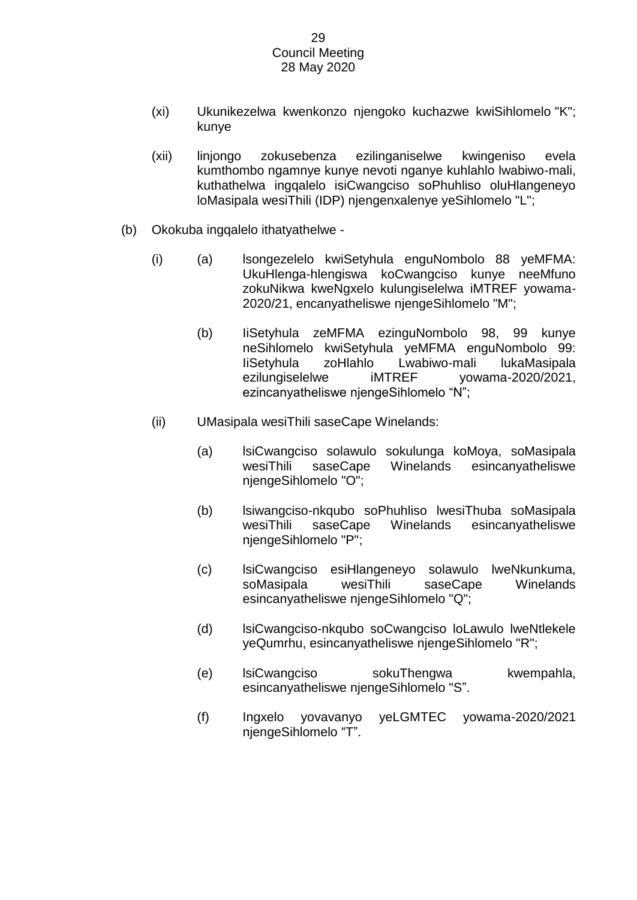- (xi) Ukunikezelwa kwenkonzo njengoko kuchazwe kwiSihlomelo "K"; kunye
- (xii) linjongo zokusebenza ezilinganiselwe kwingeniso evela kumthombo ngamnye kunye nevoti nganye kuhlahlo lwabiwo-mali, kuthathelwa ingqalelo isiCwangciso soPhuhliso oluHlangeneyo loMasipala wesiThili (IDP) njengenxalenye yeSihlomelo "L";
- (b) Okokuba ingqalelo ithatyathelwe
	- (i) (a) lsongezelelo kwiSetyhula enguNombolo 88 yeMFMA: UkuHlenga-hlengiswa koCwangciso kunye neeMfuno zokuNikwa kweNgxelo kulungiselelwa iMTREF yowama-2020/21, encanyatheliswe njengeSihlomelo "M";
		- (b) IiSetyhula zeMFMA ezinguNombolo 98, 99 kunye neSihlomelo kwiSetyhula yeMFMA enguNombolo 99: IiSetyhula zoHlahlo Lwabiwo-mali lukaMasipala ezilungiselelwe iMTREF yowama-2020/2021, ezincanyatheliswe njengeSihlomelo "N";
	- (ii) UMasipala wesiThili saseCape Winelands:
		- (a) lsiCwangciso solawulo sokulunga koMoya, soMasipala wesiThili saseCape Winelands esincanyatheliswe njengeSihlomelo "O";
		- (b) lsiwangciso-nkqubo soPhuhliso lwesiThuba soMasipala wesiThili saseCape Winelands esincanyatheliswe njengeSihlomelo "P";
		- (c) lsiCwangciso esiHlangeneyo solawulo lweNkunkuma, soMasipala wesiThili saseCape Winelands esincanyatheliswe njengeSihlomelo "Q";
		- (d) lsiCwangciso-nkqubo soCwangciso loLawulo lweNtlekele yeQumrhu, esincanyatheliswe njengeSihlomelo "R";
		- (e) lsiCwangciso sokuThengwa kwempahla, esincanyatheliswe njengeSihlomelo "S".
		- (f) Ingxelo yovavanyo yeLGMTEC yowama-2020/2021 njengeSihlomelo "T".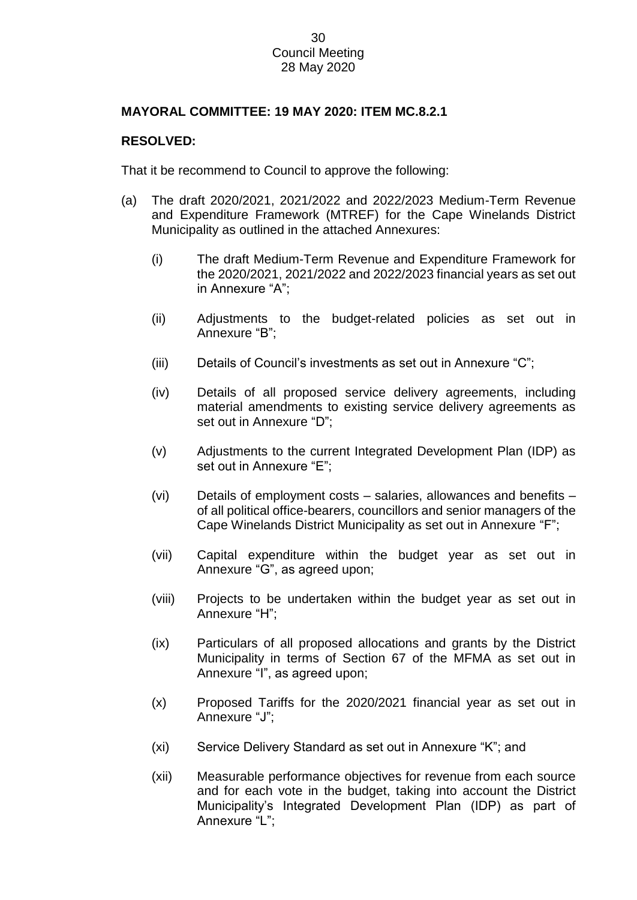# **MAYORAL COMMITTEE: 19 MAY 2020: ITEM MC.8.2.1**

# **RESOLVED:**

That it be recommend to Council to approve the following:

- (a) The draft 2020/2021, 2021/2022 and 2022/2023 Medium-Term Revenue and Expenditure Framework (MTREF) for the Cape Winelands District Municipality as outlined in the attached Annexures:
	- (i) The draft Medium-Term Revenue and Expenditure Framework for the 2020/2021, 2021/2022 and 2022/2023 financial years as set out in Annexure "A";
	- (ii) Adjustments to the budget-related policies as set out in Annexure "B";
	- (iii) Details of Council's investments as set out in Annexure "C";
	- (iv) Details of all proposed service delivery agreements, including material amendments to existing service delivery agreements as set out in Annexure "D";
	- (v) Adjustments to the current Integrated Development Plan (IDP) as set out in Annexure "E";
	- (vi) Details of employment costs salaries, allowances and benefits of all political office-bearers, councillors and senior managers of the Cape Winelands District Municipality as set out in Annexure "F";
	- (vii) Capital expenditure within the budget year as set out in Annexure "G", as agreed upon;
	- (viii) Projects to be undertaken within the budget year as set out in Annexure "H";
	- (ix) Particulars of all proposed allocations and grants by the District Municipality in terms of Section 67 of the MFMA as set out in Annexure "I", as agreed upon;
	- (x) Proposed Tariffs for the 2020/2021 financial year as set out in Annexure "J";
	- (xi) Service Delivery Standard as set out in Annexure "K"; and
	- (xii) Measurable performance objectives for revenue from each source and for each vote in the budget, taking into account the District Municipality's Integrated Development Plan (IDP) as part of Annexure "L";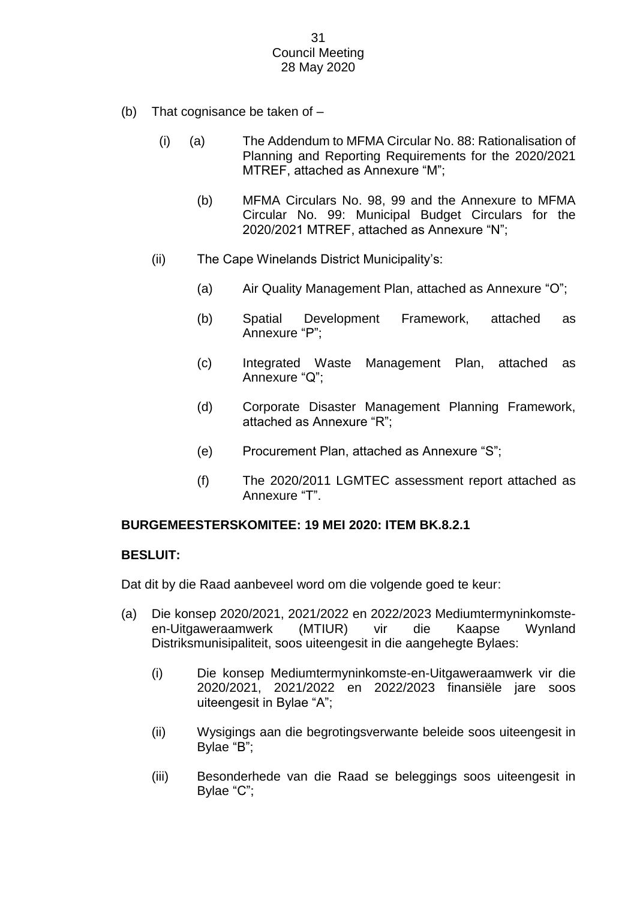- (b) That cognisance be taken of
	- (i) (a) The Addendum to MFMA Circular No. 88: Rationalisation of Planning and Reporting Requirements for the 2020/2021 MTREF, attached as Annexure "M";
		- (b) MFMA Circulars No. 98, 99 and the Annexure to MFMA Circular No. 99: Municipal Budget Circulars for the 2020/2021 MTREF, attached as Annexure "N";
	- (ii) The Cape Winelands District Municipality's:
		- (a) Air Quality Management Plan, attached as Annexure "O";
		- (b) Spatial Development Framework, attached as Annexure "P";
		- (c) Integrated Waste Management Plan, attached as Annexure "Q";
		- (d) Corporate Disaster Management Planning Framework, attached as Annexure "R";
		- (e) Procurement Plan, attached as Annexure "S";
		- (f) The 2020/2011 LGMTEC assessment report attached as Annexure "T".

# **BURGEMEESTERSKOMITEE: 19 MEI 2020: ITEM BK.8.2.1**

# **BESLUIT:**

Dat dit by die Raad aanbeveel word om die volgende goed te keur:

- (a) Die konsep 2020/2021, 2021/2022 en 2022/2023 Mediumtermyninkomsteen-Uitgaweraamwerk (MTIUR) vir die Kaapse Wynland Distriksmunisipaliteit, soos uiteengesit in die aangehegte Bylaes:
	- (i) Die konsep Mediumtermyninkomste-en-Uitgaweraamwerk vir die 2020/2021, 2021/2022 en 2022/2023 finansiële jare soos uiteengesit in Bylae "A";
	- (ii) Wysigings aan die begrotingsverwante beleide soos uiteengesit in Bylae "B";
	- (iii) Besonderhede van die Raad se beleggings soos uiteengesit in Bylae "C";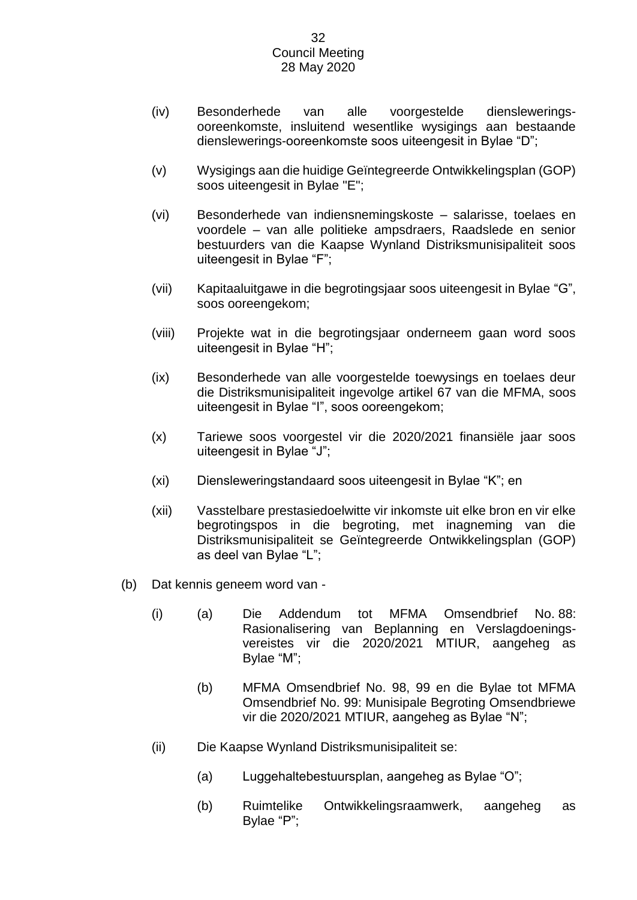- (iv) Besonderhede van alle voorgestelde diensleweringsooreenkomste, insluitend wesentlike wysigings aan bestaande dienslewerings-ooreenkomste soos uiteengesit in Bylae "D";
- (v) Wysigings aan die huidige Geïntegreerde Ontwikkelingsplan (GOP) soos uiteengesit in Bylae "E";
- (vi) Besonderhede van indiensnemingskoste salarisse, toelaes en voordele – van alle politieke ampsdraers, Raadslede en senior bestuurders van die Kaapse Wynland Distriksmunisipaliteit soos uiteengesit in Bylae "F";
- (vii) Kapitaaluitgawe in die begrotingsjaar soos uiteengesit in Bylae "G", soos ooreengekom;
- (viii) Projekte wat in die begrotingsjaar onderneem gaan word soos uiteengesit in Bylae "H";
- (ix) Besonderhede van alle voorgestelde toewysings en toelaes deur die Distriksmunisipaliteit ingevolge artikel 67 van die MFMA, soos uiteengesit in Bylae "I", soos ooreengekom;
- (x) Tariewe soos voorgestel vir die 2020/2021 finansiële jaar soos uiteengesit in Bylae "J";
- (xi) Diensleweringstandaard soos uiteengesit in Bylae "K"; en
- (xii) Vasstelbare prestasiedoelwitte vir inkomste uit elke bron en vir elke begrotingspos in die begroting, met inagneming van die Distriksmunisipaliteit se Geïntegreerde Ontwikkelingsplan (GOP) as deel van Bylae "L";
- (b) Dat kennis geneem word van
	- (i) (a) Die Addendum tot MFMA Omsendbrief No. 88: Rasionalisering van Beplanning en Verslagdoeningsvereistes vir die 2020/2021 MTIUR, aangeheg as Bylae "M";
		- (b) MFMA Omsendbrief No. 98, 99 en die Bylae tot MFMA Omsendbrief No. 99: Munisipale Begroting Omsendbriewe vir die 2020/2021 MTIUR, aangeheg as Bylae "N";
	- (ii) Die Kaapse Wynland Distriksmunisipaliteit se:
		- (a) Luggehaltebestuursplan, aangeheg as Bylae "O";
		- (b) Ruimtelike Ontwikkelingsraamwerk, aangeheg as Bylae "P";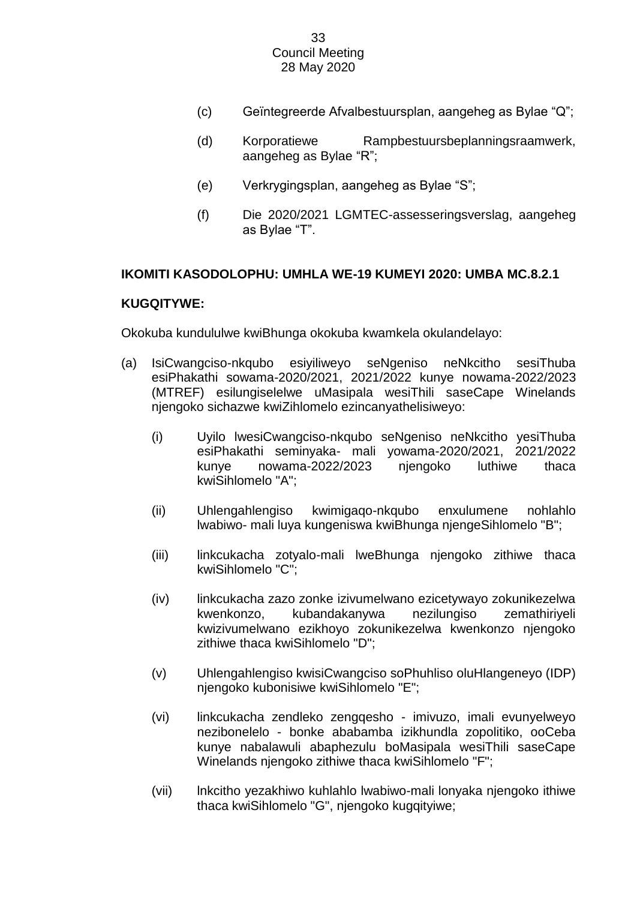- (c) Geïntegreerde Afvalbestuursplan, aangeheg as Bylae "Q";
- (d) Korporatiewe Rampbestuursbeplanningsraamwerk, aangeheg as Bylae "R";
- (e) Verkrygingsplan, aangeheg as Bylae "S";
- (f) Die 2020/2021 LGMTEC-assesseringsverslag, aangeheg as Bylae "T".

# **IKOMITI KASODOLOPHU: UMHLA WE-19 KUMEYI 2020: UMBA MC.8.2.1**

# **KUGQITYWE:**

Okokuba kundululwe kwiBhunga okokuba kwamkela okulandelayo:

- (a) IsiCwangciso-nkqubo esiyiliweyo seNgeniso neNkcitho sesiThuba esiPhakathi sowama-2020/2021, 2021/2022 kunye nowama-2022/2023 (MTREF) esilungiselelwe uMasipala wesiThili saseCape Winelands njengoko sichazwe kwiZihlomelo ezincanyathelisiweyo:
	- (i) Uyilo lwesiCwangciso-nkqubo seNgeniso neNkcitho yesiThuba esiPhakathi seminyaka- mali yowama-2020/2021, 2021/2022 kunye nowama-2022/2023 njengoko luthiwe thaca kwiSihlomelo "A";
	- (ii) Uhlengahlengiso kwimigaqo-nkqubo enxulumene nohlahlo lwabiwo- mali luya kungeniswa kwiBhunga njengeSihlomelo "B";
	- (iii) linkcukacha zotyalo-mali lweBhunga njengoko zithiwe thaca kwiSihlomelo "C";
	- (iv) linkcukacha zazo zonke izivumelwano ezicetywayo zokunikezelwa kwenkonzo, kubandakanywa nezilungiso zemathiriyeli kwizivumelwano ezikhoyo zokunikezelwa kwenkonzo njengoko zithiwe thaca kwiSihlomelo "D";
	- (v) Uhlengahlengiso kwisiCwangciso soPhuhliso oluHlangeneyo (IDP) njengoko kubonisiwe kwiSihlomelo "E";
	- (vi) linkcukacha zendleko zengqesho imivuzo, imali evunyelweyo nezibonelelo - bonke ababamba izikhundla zopolitiko, ooCeba kunye nabalawuli abaphezulu boMasipala wesiThili saseCape Winelands njengoko zithiwe thaca kwiSihlomelo "F";
	- (vii) lnkcitho yezakhiwo kuhlahlo lwabiwo-mali lonyaka njengoko ithiwe thaca kwiSihlomelo "G", njengoko kugqityiwe;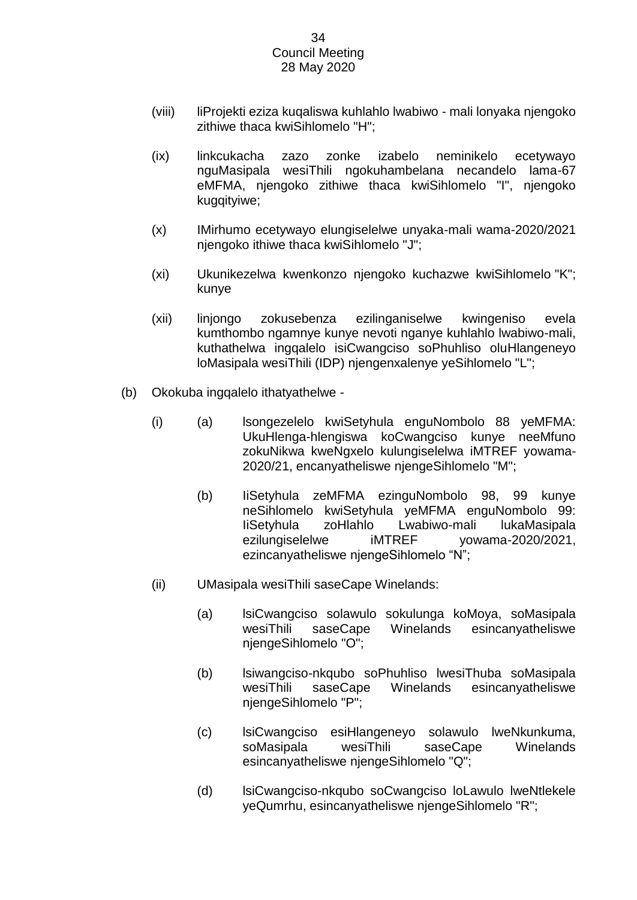- (viii) liProjekti eziza kuqaliswa kuhlahlo lwabiwo mali lonyaka njengoko zithiwe thaca kwiSihlomelo "H";
- (ix) linkcukacha zazo zonke izabelo neminikelo ecetywayo nguMasipala wesiThili ngokuhambelana necandelo lama-67 eMFMA, njengoko zithiwe thaca kwiSihlomelo "I", njengoko kugqityiwe;
- (x) IMirhumo ecetywayo elungiselelwe unyaka-mali wama-2020/2021 njengoko ithiwe thaca kwiSihlomelo "J";
- (xi) Ukunikezelwa kwenkonzo njengoko kuchazwe kwiSihlomelo "K"; kunye
- (xii) linjongo zokusebenza ezilinganiselwe kwingeniso evela kumthombo ngamnye kunye nevoti nganye kuhlahlo lwabiwo-mali, kuthathelwa ingqalelo isiCwangciso soPhuhliso oluHlangeneyo loMasipala wesiThili (IDP) njengenxalenye yeSihlomelo "L";
- (b) Okokuba ingqalelo ithatyathelwe
	- (i) (a) lsongezelelo kwiSetyhula enguNombolo 88 yeMFMA: UkuHlenga-hlengiswa koCwangciso kunye neeMfuno zokuNikwa kweNgxelo kulungiselelwa iMTREF yowama-2020/21, encanyatheliswe njengeSihlomelo "M";
		- (b) IiSetyhula zeMFMA ezinguNombolo 98, 99 kunye neSihlomelo kwiSetyhula yeMFMA enguNombolo 99: IiSetyhula zoHlahlo Lwabiwo-mali lukaMasipala ezilungiselelwe iMTREF yowama-2020/2021, ezincanyatheliswe njengeSihlomelo "N";
	- (ii) UMasipala wesiThili saseCape Winelands:
		- (a) lsiCwangciso solawulo sokulunga koMoya, soMasipala wesiThili saseCape Winelands esincanyatheliswe njengeSihlomelo "O";
		- (b) lsiwangciso-nkqubo soPhuhliso lwesiThuba soMasipala wesiThili saseCape Winelands esincanyatheliswe njengeSihlomelo "P";
		- (c) lsiCwangciso esiHlangeneyo solawulo lweNkunkuma, soMasipala wesiThili saseCape Winelands esincanyatheliswe njengeSihlomelo "Q";
		- (d) lsiCwangciso-nkqubo soCwangciso loLawulo lweNtlekele yeQumrhu, esincanyatheliswe njengeSihlomelo "R";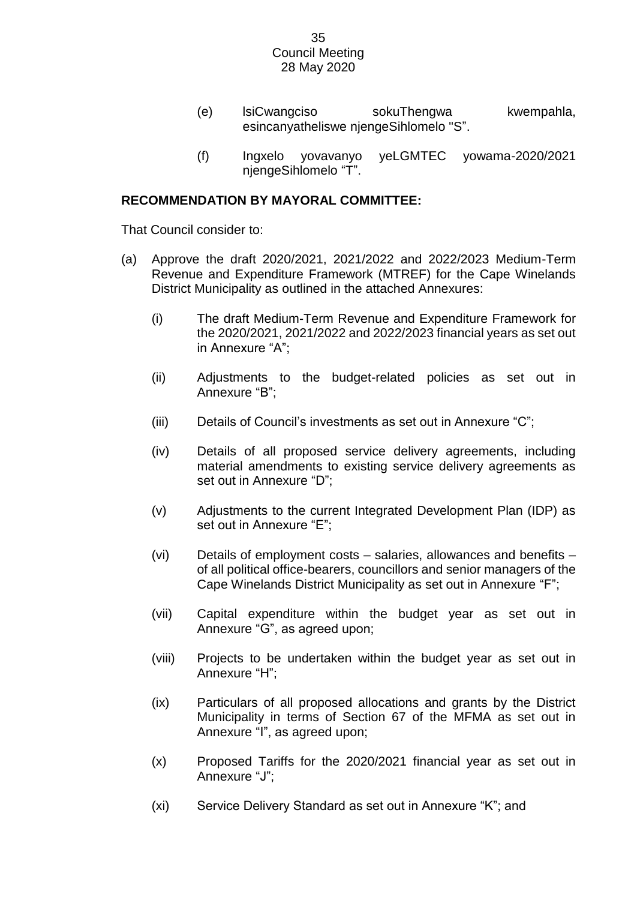- (e) lsiCwangciso sokuThengwa kwempahla, esincanyatheliswe njengeSihlomelo "S".
- (f) Ingxelo yovavanyo yeLGMTEC yowama-2020/2021 njengeSihlomelo "T".

# **RECOMMENDATION BY MAYORAL COMMITTEE:**

That Council consider to:

- (a) Approve the draft 2020/2021, 2021/2022 and 2022/2023 Medium-Term Revenue and Expenditure Framework (MTREF) for the Cape Winelands District Municipality as outlined in the attached Annexures:
	- (i) The draft Medium-Term Revenue and Expenditure Framework for the 2020/2021, 2021/2022 and 2022/2023 financial years as set out in Annexure "A";
	- (ii) Adjustments to the budget-related policies as set out in Annexure "B";
	- (iii) Details of Council's investments as set out in Annexure "C";
	- (iv) Details of all proposed service delivery agreements, including material amendments to existing service delivery agreements as set out in Annexure "D";
	- (v) Adjustments to the current Integrated Development Plan (IDP) as set out in Annexure "E";
	- (vi) Details of employment costs salaries, allowances and benefits of all political office-bearers, councillors and senior managers of the Cape Winelands District Municipality as set out in Annexure "F";
	- (vii) Capital expenditure within the budget year as set out in Annexure "G", as agreed upon;
	- (viii) Projects to be undertaken within the budget year as set out in Annexure "H";
	- (ix) Particulars of all proposed allocations and grants by the District Municipality in terms of Section 67 of the MFMA as set out in Annexure "I", as agreed upon;
	- (x) Proposed Tariffs for the 2020/2021 financial year as set out in Annexure "J";
	- (xi) Service Delivery Standard as set out in Annexure "K"; and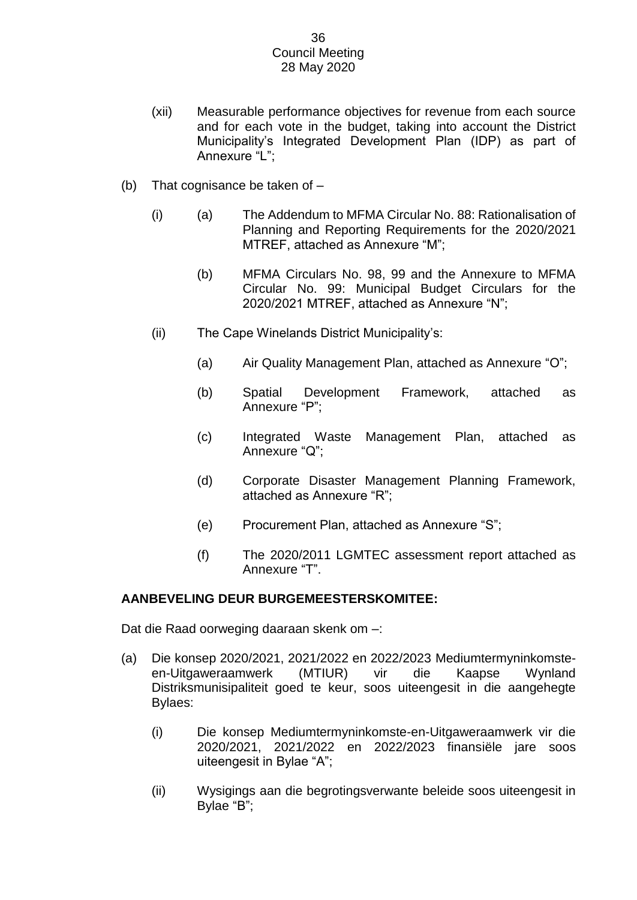- (xii) Measurable performance objectives for revenue from each source and for each vote in the budget, taking into account the District Municipality's Integrated Development Plan (IDP) as part of Annexure "L";
- (b) That cognisance be taken of
	- (i) (a) The Addendum to MFMA Circular No. 88: Rationalisation of Planning and Reporting Requirements for the 2020/2021 MTREF, attached as Annexure "M";
		- (b) MFMA Circulars No. 98, 99 and the Annexure to MFMA Circular No. 99: Municipal Budget Circulars for the 2020/2021 MTREF, attached as Annexure "N";
	- (ii) The Cape Winelands District Municipality's:
		- (a) Air Quality Management Plan, attached as Annexure "O";
		- (b) Spatial Development Framework, attached as Annexure "P";
		- (c) Integrated Waste Management Plan, attached as Annexure "Q";
		- (d) Corporate Disaster Management Planning Framework, attached as Annexure "R";
		- (e) Procurement Plan, attached as Annexure "S";
		- (f) The 2020/2011 LGMTEC assessment report attached as Annexure "T".

# **AANBEVELING DEUR BURGEMEESTERSKOMITEE:**

Dat die Raad oorweging daaraan skenk om –:

- (a) Die konsep 2020/2021, 2021/2022 en 2022/2023 Mediumtermyninkomsteen-Uitgaweraamwerk (MTIUR) vir die Kaapse Wynland Distriksmunisipaliteit goed te keur, soos uiteengesit in die aangehegte Bylaes:
	- (i) Die konsep Mediumtermyninkomste-en-Uitgaweraamwerk vir die 2020/2021, 2021/2022 en 2022/2023 finansiële jare soos uiteengesit in Bylae "A";
	- (ii) Wysigings aan die begrotingsverwante beleide soos uiteengesit in Bylae "B";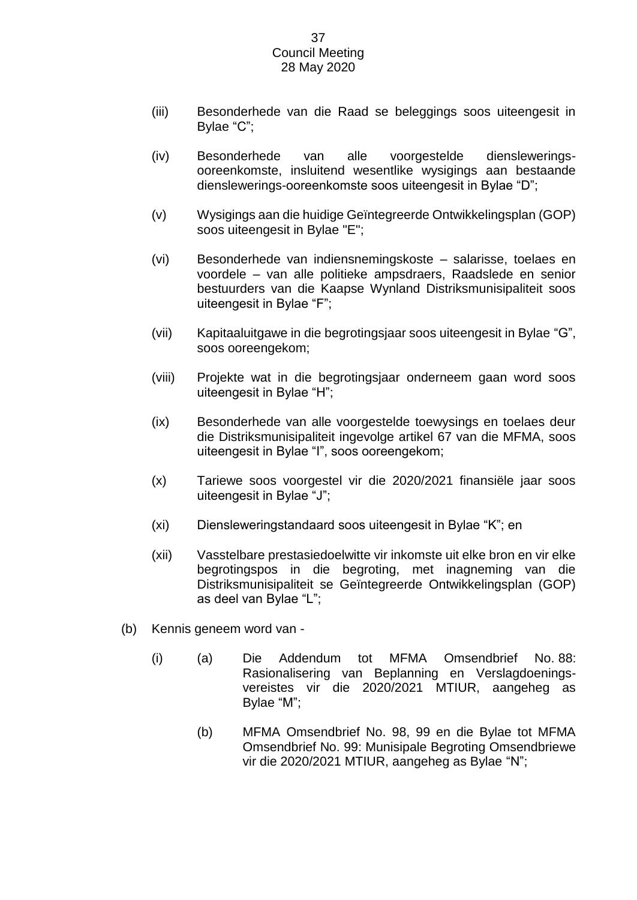- (iii) Besonderhede van die Raad se beleggings soos uiteengesit in Bylae "C";
- (iv) Besonderhede van alle voorgestelde diensleweringsooreenkomste, insluitend wesentlike wysigings aan bestaande dienslewerings-ooreenkomste soos uiteengesit in Bylae "D";
- (v) Wysigings aan die huidige Geïntegreerde Ontwikkelingsplan (GOP) soos uiteengesit in Bylae "E";
- (vi) Besonderhede van indiensnemingskoste salarisse, toelaes en voordele – van alle politieke ampsdraers, Raadslede en senior bestuurders van die Kaapse Wynland Distriksmunisipaliteit soos uiteengesit in Bylae "F";
- (vii) Kapitaaluitgawe in die begrotingsjaar soos uiteengesit in Bylae "G", soos ooreengekom;
- (viii) Projekte wat in die begrotingsjaar onderneem gaan word soos uiteengesit in Bylae "H";
- (ix) Besonderhede van alle voorgestelde toewysings en toelaes deur die Distriksmunisipaliteit ingevolge artikel 67 van die MFMA, soos uiteengesit in Bylae "I", soos ooreengekom;
- (x) Tariewe soos voorgestel vir die 2020/2021 finansiële jaar soos uiteengesit in Bylae "J";
- (xi) Diensleweringstandaard soos uiteengesit in Bylae "K"; en
- (xii) Vasstelbare prestasiedoelwitte vir inkomste uit elke bron en vir elke begrotingspos in die begroting, met inagneming van die Distriksmunisipaliteit se Geïntegreerde Ontwikkelingsplan (GOP) as deel van Bylae "L";
- (b) Kennis geneem word van
	- (i) (a) Die Addendum tot MFMA Omsendbrief No. 88: Rasionalisering van Beplanning en Verslagdoeningsvereistes vir die 2020/2021 MTIUR, aangeheg as Bylae "M";
		- (b) MFMA Omsendbrief No. 98, 99 en die Bylae tot MFMA Omsendbrief No. 99: Munisipale Begroting Omsendbriewe vir die 2020/2021 MTIUR, aangeheg as Bylae "N";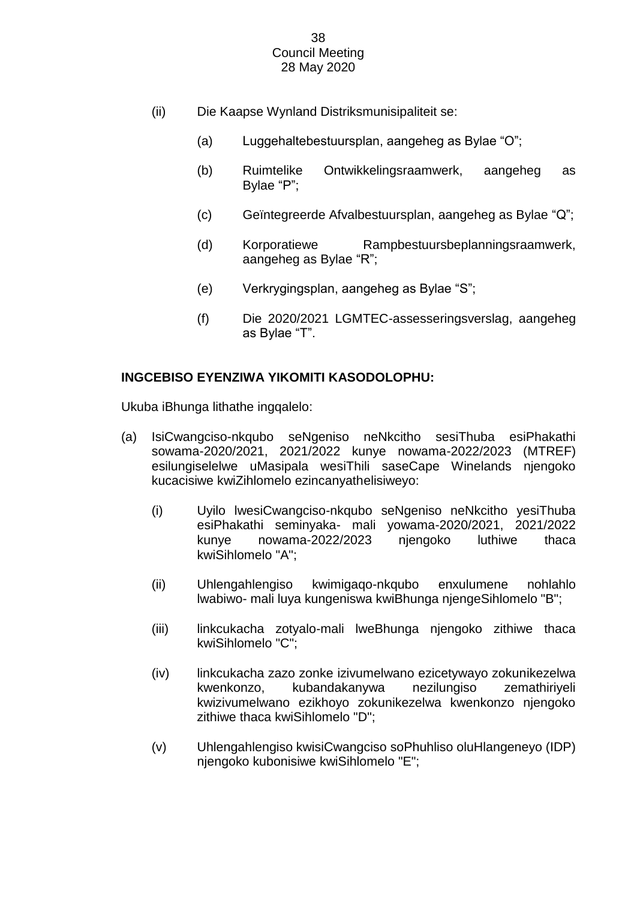- (ii) Die Kaapse Wynland Distriksmunisipaliteit se:
	- (a) Luggehaltebestuursplan, aangeheg as Bylae "O";
	- (b) Ruimtelike Ontwikkelingsraamwerk, aangeheg as Bylae "P";
	- (c) Geïntegreerde Afvalbestuursplan, aangeheg as Bylae "Q";
	- (d) Korporatiewe Rampbestuursbeplanningsraamwerk, aangeheg as Bylae "R";
	- (e) Verkrygingsplan, aangeheg as Bylae "S";
	- (f) Die 2020/2021 LGMTEC-assesseringsverslag, aangeheg as Bylae "T".

# **INGCEBISO EYENZIWA YIKOMITI KASODOLOPHU:**

Ukuba iBhunga lithathe ingqalelo:

- (a) IsiCwangciso-nkqubo seNgeniso neNkcitho sesiThuba esiPhakathi sowama-2020/2021, 2021/2022 kunye nowama-2022/2023 (MTREF) esilungiselelwe uMasipala wesiThili saseCape Winelands njengoko kucacisiwe kwiZihlomelo ezincanyathelisiweyo:
	- (i) Uyilo lwesiCwangciso-nkqubo seNgeniso neNkcitho yesiThuba esiPhakathi seminyaka- mali yowama-2020/2021, 2021/2022 kunye nowama-2022/2023 njengoko luthiwe thaca kwiSihlomelo "A";
	- (ii) Uhlengahlengiso kwimigaqo-nkqubo enxulumene nohlahlo lwabiwo- mali luya kungeniswa kwiBhunga njengeSihlomelo "B";
	- (iii) linkcukacha zotyalo-mali lweBhunga njengoko zithiwe thaca kwiSihlomelo "C";
	- (iv) linkcukacha zazo zonke izivumelwano ezicetywayo zokunikezelwa kwenkonzo, kubandakanywa nezilungiso zemathiriyeli kwizivumelwano ezikhoyo zokunikezelwa kwenkonzo njengoko zithiwe thaca kwiSihlomelo "D";
	- (v) Uhlengahlengiso kwisiCwangciso soPhuhliso oluHlangeneyo (IDP) njengoko kubonisiwe kwiSihlomelo "E";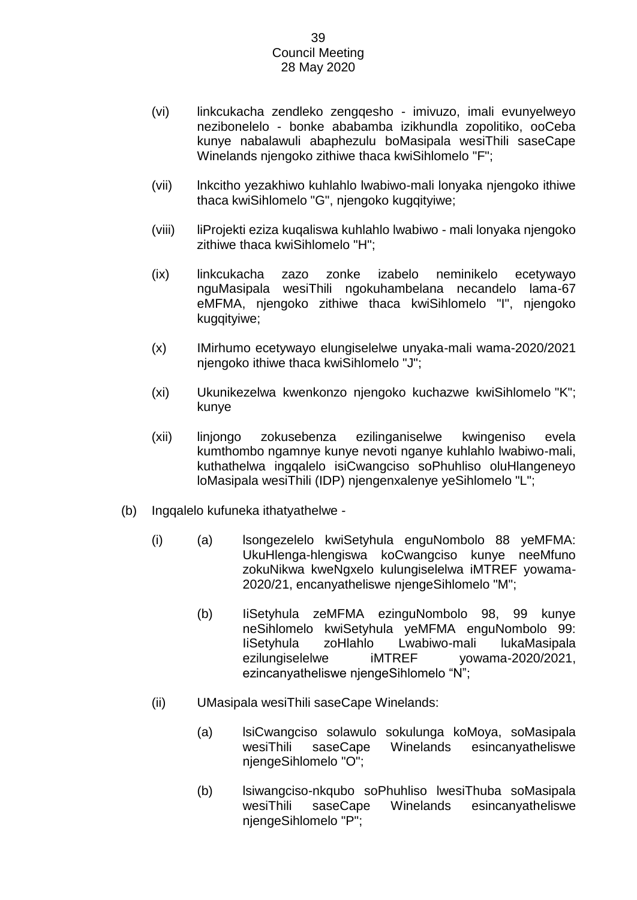- (vi) linkcukacha zendleko zengqesho imivuzo, imali evunyelweyo nezibonelelo - bonke ababamba izikhundla zopolitiko, ooCeba kunye nabalawuli abaphezulu boMasipala wesiThili saseCape Winelands njengoko zithiwe thaca kwiSihlomelo "F";
- (vii) lnkcitho yezakhiwo kuhlahlo lwabiwo-mali lonyaka njengoko ithiwe thaca kwiSihlomelo "G", njengoko kugqityiwe;
- (viii) liProjekti eziza kuqaliswa kuhlahlo lwabiwo mali lonyaka njengoko zithiwe thaca kwiSihlomelo "H";
- (ix) linkcukacha zazo zonke izabelo neminikelo ecetywayo nguMasipala wesiThili ngokuhambelana necandelo lama-67 eMFMA, njengoko zithiwe thaca kwiSihlomelo "I", njengoko kugqityiwe;
- (x) IMirhumo ecetywayo elungiselelwe unyaka-mali wama-2020/2021 njengoko ithiwe thaca kwiSihlomelo "J";
- (xi) Ukunikezelwa kwenkonzo njengoko kuchazwe kwiSihlomelo "K"; kunye
- (xii) linjongo zokusebenza ezilinganiselwe kwingeniso evela kumthombo ngamnye kunye nevoti nganye kuhlahlo lwabiwo-mali, kuthathelwa ingqalelo isiCwangciso soPhuhliso oluHlangeneyo loMasipala wesiThili (IDP) njengenxalenye yeSihlomelo "L";
- (b) Ingqalelo kufuneka ithatyathelwe
	- (i) (a) lsongezelelo kwiSetyhula enguNombolo 88 yeMFMA: UkuHlenga-hlengiswa koCwangciso kunye neeMfuno zokuNikwa kweNgxelo kulungiselelwa iMTREF yowama-2020/21, encanyatheliswe njengeSihlomelo "M";
		- (b) IiSetyhula zeMFMA ezinguNombolo 98, 99 kunye neSihlomelo kwiSetyhula yeMFMA enguNombolo 99: IiSetyhula zoHlahlo Lwabiwo-mali lukaMasipala ezilungiselelwe iMTREF yowama-2020/2021, ezincanyatheliswe njengeSihlomelo "N";
	- (ii) UMasipala wesiThili saseCape Winelands:
		- (a) lsiCwangciso solawulo sokulunga koMoya, soMasipala wesiThili saseCape Winelands esincanyatheliswe njengeSihlomelo "O";
		- (b) lsiwangciso-nkqubo soPhuhliso lwesiThuba soMasipala wesiThili saseCape Winelands esincanyatheliswe njengeSihlomelo "P";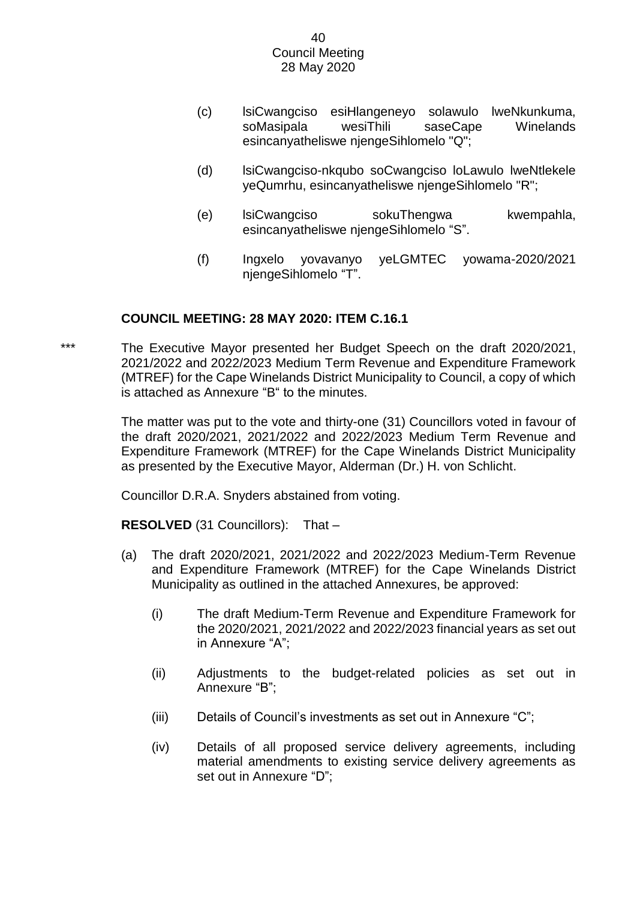- (c) lsiCwangciso esiHlangeneyo solawulo lweNkunkuma, soMasipala wesiThili saseCape Winelands esincanyatheliswe njengeSihlomelo "Q";
- (d) lsiCwangciso-nkqubo soCwangciso loLawulo lweNtlekele yeQumrhu, esincanyatheliswe njengeSihlomelo "R";
- (e) lsiCwangciso sokuThengwa kwempahla, esincanyatheliswe njengeSihlomelo "S".
- (f) Ingxelo yovavanyo yeLGMTEC yowama-2020/2021 njengeSihlomelo "T".

# **COUNCIL MEETING: 28 MAY 2020: ITEM C.16.1**

\*\*\* The Executive Mayor presented her Budget Speech on the draft 2020/2021, 2021/2022 and 2022/2023 Medium Term Revenue and Expenditure Framework (MTREF) for the Cape Winelands District Municipality to Council, a copy of which is attached as Annexure "B" to the minutes.

> The matter was put to the vote and thirty-one (31) Councillors voted in favour of the draft 2020/2021, 2021/2022 and 2022/2023 Medium Term Revenue and Expenditure Framework (MTREF) for the Cape Winelands District Municipality as presented by the Executive Mayor, Alderman (Dr.) H. von Schlicht.

Councillor D.R.A. Snyders abstained from voting.

**RESOLVED** (31 Councillors):That –

- (a) The draft 2020/2021, 2021/2022 and 2022/2023 Medium-Term Revenue and Expenditure Framework (MTREF) for the Cape Winelands District Municipality as outlined in the attached Annexures, be approved:
	- (i) The draft Medium-Term Revenue and Expenditure Framework for the 2020/2021, 2021/2022 and 2022/2023 financial years as set out in Annexure "A";
	- (ii) Adjustments to the budget-related policies as set out in Annexure "B";
	- (iii) Details of Council's investments as set out in Annexure "C";
	- (iv) Details of all proposed service delivery agreements, including material amendments to existing service delivery agreements as set out in Annexure "D";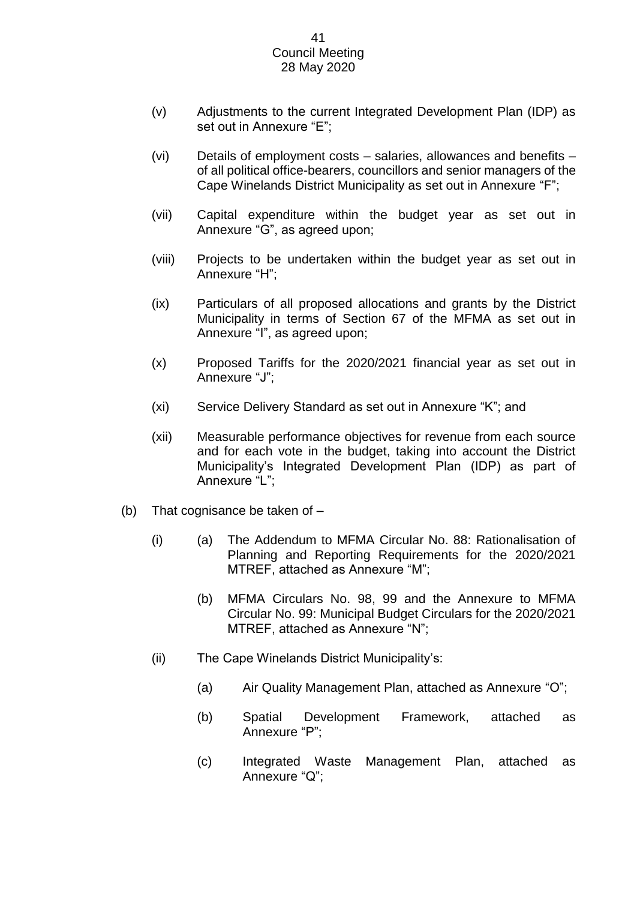- (v) Adjustments to the current Integrated Development Plan (IDP) as set out in Annexure "E";
- (vi) Details of employment costs salaries, allowances and benefits of all political office-bearers, councillors and senior managers of the Cape Winelands District Municipality as set out in Annexure "F";
- (vii) Capital expenditure within the budget year as set out in Annexure "G", as agreed upon;
- (viii) Projects to be undertaken within the budget year as set out in Annexure "H";
- (ix) Particulars of all proposed allocations and grants by the District Municipality in terms of Section 67 of the MFMA as set out in Annexure "I", as agreed upon;
- (x) Proposed Tariffs for the 2020/2021 financial year as set out in Annexure "J";
- (xi) Service Delivery Standard as set out in Annexure "K"; and
- (xii) Measurable performance objectives for revenue from each source and for each vote in the budget, taking into account the District Municipality's Integrated Development Plan (IDP) as part of Annexure "L";
- (b) That cognisance be taken of
	- (i) (a) The Addendum to MFMA Circular No. 88: Rationalisation of Planning and Reporting Requirements for the 2020/2021 MTREF, attached as Annexure "M";
		- (b) MFMA Circulars No. 98, 99 and the Annexure to MFMA Circular No. 99: Municipal Budget Circulars for the 2020/2021 MTREF, attached as Annexure "N";
	- (ii) The Cape Winelands District Municipality's:
		- (a) Air Quality Management Plan, attached as Annexure "O";
		- (b) Spatial Development Framework, attached as Annexure "P";
		- (c) Integrated Waste Management Plan, attached as Annexure "Q";